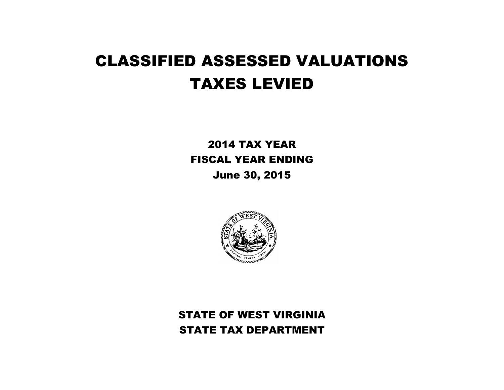# CLASSIFIED ASSESSED VALUATIONS TAXES LEVIED

2014 TAX YEAR FISCAL YEAR ENDING June 30, 2015



STATE OF WEST VIRGINIA STATE TAX DEPARTMENT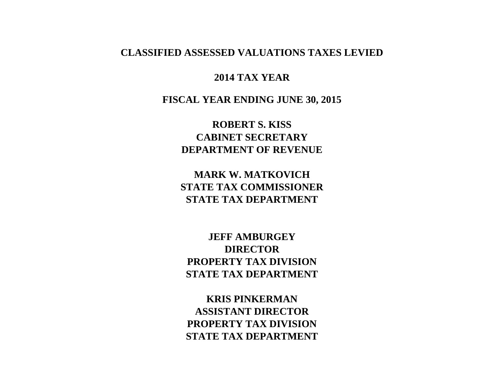### **CLASSIFIED ASSESSED VALUATIONS TAXES LEVIED**

### **2014 TAX YEAR**

**FISCAL YEAR ENDING JUNE 30, 2015**

**ROBERT S. KISS CABINET SECRETARY DEPARTMENT OF REVENUE**

**MARK W. MATKOVICH STATE TAX COMMISSIONER STATE TAX DEPARTMENT**

**JEFF AMBURGEY DIRECTOR PROPERTY TAX DIVISION STATE TAX DEPARTMENT**

**KRIS PINKERMAN ASSISTANT DIRECTOR PROPERTY TAX DIVISION STATE TAX DEPARTMENT**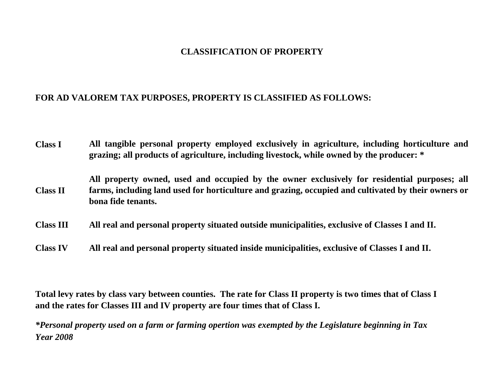### **CLASSIFICATION OF PROPERTY**

### **FOR AD VALOREM TAX PURPOSES, PROPERTY IS CLASSIFIED AS FOLLOWS:**

- **Class I All tangible personal property employed exclusively in agriculture, including horticulture and grazing; all products of agriculture, including livestock, while owned by the producer: \***
- **Class II All property owned, used and occupied by the owner exclusively for residential purposes; all farms, including land used for horticulture and grazing, occupied and cultivated by their owners or bona fide tenants.**
- **Class III All real and personal property situated outside municipalities, exclusive of Classes I and II.**
- **Class IV All real and personal property situated inside municipalities, exclusive of Classes I and II.**

**Total levy rates by class vary between counties. The rate for Class II property is two times that of Class I and the rates for Classes III and IV property are four times that of Class I.**

*\*Personal property used on a farm or farming opertion was exempted by the Legislature beginning in Tax Year 2008*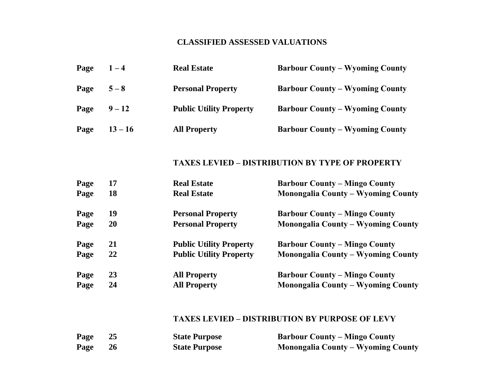### **CLASSIFIED ASSESSED VALUATIONS**

| Page | $1 - 4$   | <b>Real Estate</b>             | <b>Barbour County – Wyoming County</b> |
|------|-----------|--------------------------------|----------------------------------------|
| Page | $5 - 8$   | <b>Personal Property</b>       | <b>Barbour County – Wyoming County</b> |
| Page | $9 - 12$  | <b>Public Utility Property</b> | <b>Barbour County – Wyoming County</b> |
| Page | $13 - 16$ | <b>All Property</b>            | <b>Barbour County – Wyoming County</b> |

### **TAXES LEVIED – DISTRIBUTION BY TYPE OF PROPERTY**

| Page | 17 | <b>Real Estate</b>             | <b>Barbour County – Mingo County</b>      |
|------|----|--------------------------------|-------------------------------------------|
| Page | 18 | <b>Real Estate</b>             | <b>Monongalia County - Wyoming County</b> |
| Page | 19 | <b>Personal Property</b>       | <b>Barbour County – Mingo County</b>      |
| Page | 20 | <b>Personal Property</b>       | <b>Monongalia County – Wyoming County</b> |
| Page | 21 | <b>Public Utility Property</b> | <b>Barbour County – Mingo County</b>      |
| Page | 22 | <b>Public Utility Property</b> | <b>Monongalia County – Wyoming County</b> |
| Page | 23 | <b>All Property</b>            | <b>Barbour County – Mingo County</b>      |
| Page | 24 | <b>All Property</b>            | <b>Monongalia County - Wyoming County</b> |

#### **TAXES LEVIED – DISTRIBUTION BY PURPOSE OF LEVY**

| Page | <b>State Purpose</b> | <b>Barbour County – Mingo County</b>      |
|------|----------------------|-------------------------------------------|
| Page | <b>State Purpose</b> | <b>Monongalia County – Wyoming County</b> |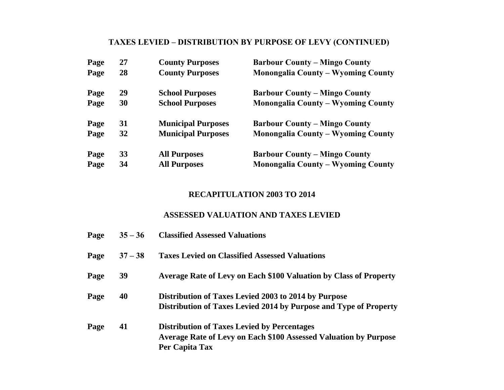## **TAXES LEVIED – DISTRIBUTION BY PURPOSE OF LEVY (CONTINUED)**

| Page | 27 | <b>County Purposes</b>    | <b>Barbour County – Mingo County</b>      |
|------|----|---------------------------|-------------------------------------------|
| Page | 28 | <b>County Purposes</b>    | <b>Monongalia County - Wyoming County</b> |
| Page | 29 | <b>School Purposes</b>    | <b>Barbour County – Mingo County</b>      |
| Page | 30 | <b>School Purposes</b>    | <b>Monongalia County – Wyoming County</b> |
| Page | 31 | <b>Municipal Purposes</b> | <b>Barbour County – Mingo County</b>      |
| Page | 32 | <b>Municipal Purposes</b> | <b>Monongalia County – Wyoming County</b> |
| Page | 33 | <b>All Purposes</b>       | <b>Barbour County – Mingo County</b>      |
| Page | 34 | <b>All Purposes</b>       | <b>Monongalia County – Wyoming County</b> |

### **RECAPITULATION 2003 TO 2014**

### **ASSESSED VALUATION AND TAXES LEVIED**

| Page | $35 - 36$ | <b>Classified Assessed Valuations</b>                                                                                                           |
|------|-----------|-------------------------------------------------------------------------------------------------------------------------------------------------|
| Page | $37 - 38$ | <b>Taxes Levied on Classified Assessed Valuations</b>                                                                                           |
| Page | 39        | Average Rate of Levy on Each \$100 Valuation by Class of Property                                                                               |
| Page | 40        | Distribution of Taxes Levied 2003 to 2014 by Purpose<br>Distribution of Taxes Levied 2014 by Purpose and Type of Property                       |
| Page | 41        | <b>Distribution of Taxes Levied by Percentages</b><br><b>Average Rate of Levy on Each \$100 Assessed Valuation by Purpose</b><br>Per Capita Tax |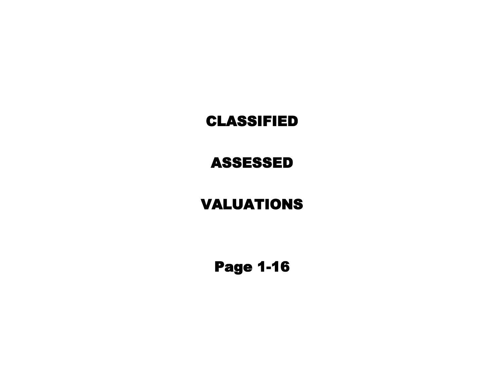## CLASSIFIED

ASSESSED

# VALUATIONS

Page 1-16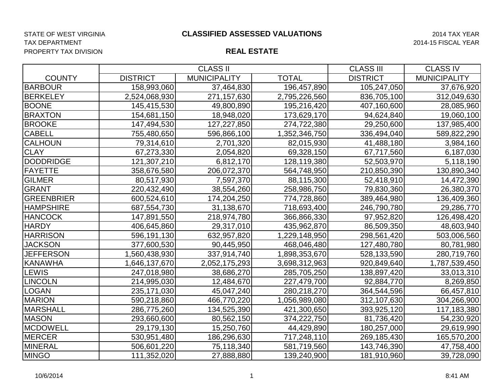## TAX DEPARTMENT 2014-15 FISCAL YEAR PROPERTY TAX DIVISION

|                   | <b>CLASS II</b> |                     |               | <b>CLASS III</b> | <b>CLASS IV</b>     |
|-------------------|-----------------|---------------------|---------------|------------------|---------------------|
| <b>COUNTY</b>     | <b>DISTRICT</b> | <b>MUNICIPALITY</b> | <b>TOTAL</b>  | <b>DISTRICT</b>  | <b>MUNICIPALITY</b> |
| <b>BARBOUR</b>    | 158,993,060     | 37,464,830          | 196,457,890   | 105,247,050      | 37,676,920          |
| <b>BERKELEY</b>   | 2,524,068,930   | 271,157,630         | 2,795,226,560 | 836,705,100      | 312,049,630         |
| <b>BOONE</b>      | 145,415,530     | 49,800,890          | 195,216,420   | 407,160,600      | 28,085,960          |
| <b>BRAXTON</b>    | 154,681,150     | 18,948,020          | 173,629,170   | 94,624,840       | 19,060,100          |
| <b>BROOKE</b>     | 147,494,530     | 127,227,850         | 274,722,380   | 29,250,600       | 137,985,400         |
| <b>CABELL</b>     | 755,480,650     | 596,866,100         | 1,352,346,750 | 336,494,040      | 589,822,290         |
| <b>CALHOUN</b>    | 79,314,610      | 2,701,320           | 82,015,930    | 41,488,180       | 3,984,160           |
| <b>CLAY</b>       | 67,273,330      | 2,054,820           | 69,328,150    | 67,717,560       | 6,187,030           |
| <b>DODDRIDGE</b>  | 121,307,210     | 6,812,170           | 128,119,380   | 52,503,970       | 5,118,190           |
| <b>FAYETTE</b>    | 358,676,580     | 206,072,370         | 564,748,950   | 210,850,390      | 130,890,340         |
| <b>GILMER</b>     | 80,517,930      | 7,597,370           | 88,115,300    | 52,418,910       | 14,472,390          |
| <b>GRANT</b>      | 220,432,490     | 38,554,260          | 258,986,750   | 79,830,360       | 26,380,370          |
| <b>GREENBRIER</b> | 600,524,610     | 174,204,250         | 774,728,860   | 389,464,980      | 136,409,360         |
| <b>HAMPSHIRE</b>  | 687,554,730     | 31,138,670          | 718,693,400   | 246,790,780      | 29,286,770          |
| <b>HANCOCK</b>    | 147,891,550     | 218,974,780         | 366,866,330   | 97,952,820       | 126,498,420         |
| <b>HARDY</b>      | 406,645,860     | 29,317,010          | 435,962,870   | 86,509,350       | 48,603,940          |
| <b>HARRISON</b>   | 596,191,130     | 632,957,820         | 1,229,148,950 | 298,561,420      | 503,006,560         |
| <b>JACKSON</b>    | 377,600,530     | 90,445,950          | 468,046,480   | 127,480,780      | 80,781,980          |
| <b>JEFFERSON</b>  | 1,560,438,930   | 337,914,740         | 1,898,353,670 | 528,133,590      | 280,719,760         |
| <b>KANAWHA</b>    | 1,646,137,670   | 2,052,175,293       | 3,698,312,963 | 920,849,640      | 1,787,539,450       |
| <b>LEWIS</b>      | 247,018,980     | 38,686,270          | 285,705,250   | 138,897,420      | 33,013,310          |
| <b>LINCOLN</b>    | 214,995,030     | 12,484,670          | 227,479,700   | 92,884,770       | 8,269,850           |
| LOGAN             | 235, 171, 030   | 45,047,240          | 280,218,270   | 364,544,596      | 66,457,810          |
| <b>MARION</b>     | 590,218,860     | 466,770,220         | 1,056,989,080 | 312,107,630      | 304,266,900         |
| <b>MARSHALL</b>   | 286,775,260     | 134,525,390         | 421,300,650   | 393,925,120      | 117,183,380         |
| <b>MASON</b>      | 293,660,600     | 80,562,150          | 374,222,750   | 81,736,420       | 54,230,920          |
| <b>MCDOWELL</b>   | 29,179,130      | 15,250,760          | 44,429,890    | 180,257,000      | 29,619,990          |
| <b>MERCER</b>     | 530,951,480     | 186,296,630         | 717,248,110   | 269,185,430      | 165,570,200         |
| <b>MINERAL</b>    | 506,601,220     | 75,118,340          | 581,719,560   | 143,746,390      | 47,758,400          |
| <b>MINGO</b>      | 111,352,020     | 27,888,880          | 139,240,900   | 181,910,960      | 39,728,090          |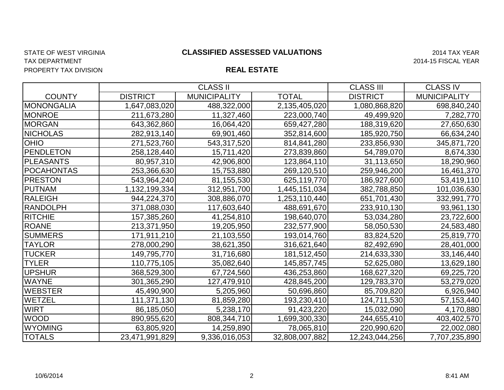## TAX DEPARTMENT 2014-15 FISCAL YEAR PROPERTY TAX DIVISION

|                   |                 | <b>CLASS II</b>     |                | <b>CLASS III</b> | <b>CLASS IV</b>     |
|-------------------|-----------------|---------------------|----------------|------------------|---------------------|
| <b>COUNTY</b>     | <b>DISTRICT</b> | <b>MUNICIPALITY</b> | <b>TOTAL</b>   | <b>DISTRICT</b>  | <b>MUNICIPALITY</b> |
| <b>MONONGALIA</b> | 1,647,083,020   | 488,322,000         | 2,135,405,020  | 1,080,868,820    | 698,840,240         |
| <b>MONROE</b>     | 211,673,280     | 11,327,460          | 223,000,740    | 49,499,920       | 7,282,770           |
| <b>MORGAN</b>     | 643,362,860     | 16,064,420          | 659,427,280    | 188,319,620      | 27,650,630          |
| <b>NICHOLAS</b>   | 282,913,140     | 69,901,460          | 352,814,600    | 185,920,750      | 66,634,240          |
| <b>OHIO</b>       | 271,523,760     | 543,317,520         | 814,841,280    | 233,856,930      | 345,871,720         |
| <b>PENDLETON</b>  | 258,128,440     | 15,711,420          | 273,839,860    | 54,789,070       | 8,674,330           |
| <b>PLEASANTS</b>  | 80,957,310      | 42,906,800          | 123,864,110    | 31,113,650       | 18,290,960          |
| <b>POCAHONTAS</b> | 253,366,630     | 15,753,880          | 269,120,510    | 259,946,200      | 16,461,370          |
| <b>PRESTON</b>    | 543,964,240     | 81,155,530          | 625,119,770    | 186,927,600      | 53,419,110          |
| <b>PUTNAM</b>     | 1,132,199,334   | 312,951,700         | 1,445,151,034  | 382,788,850      | 101,036,630         |
| <b>RALEIGH</b>    | 944,224,370     | 308,886,070         | 1,253,110,440  | 651,701,430      | 332,991,770         |
| <b>RANDOLPH</b>   | 371,088,030     | 117,603,640         | 488,691,670    | 233,910,130      | 93,961,130          |
| <b>RITCHIE</b>    | 157,385,260     | 41,254,810          | 198,640,070    | 53,034,280       | 23,722,600          |
| <b>ROANE</b>      | 213,371,950     | 19,205,950          | 232,577,900    | 58,050,530       | 24,583,480          |
| <b>SUMMERS</b>    | 171,911,210     | 21,103,550          | 193,014,760    | 83,824,520       | 25,819,770          |
| <b>TAYLOR</b>     | 278,000,290     | 38,621,350          | 316,621,640    | 82,492,690       | 28,401,000          |
| <b>TUCKER</b>     | 149,795,770     | 31,716,680          | 181,512,450    | 214,633,330      | 33,146,440          |
| <b>TYLER</b>      | 110,775,105     | 35,082,640          | 145,857,745    | 52,625,080       | 13,629,180          |
| <b>UPSHUR</b>     | 368,529,300     | 67,724,560          | 436,253,860    | 168,627,320      | 69,225,720          |
| <b>WAYNE</b>      | 301,365,290     | 127,479,910         | 428,845,200    | 129,783,370      | 53,279,020          |
| <b>WEBSTER</b>    | 45,490,900      | 5,205,960           | 50,696,860     | 85,709,820       | 6,926,940           |
| <b>WETZEL</b>     | 111,371,130     | 81,859,280          | 193,230,410    | 124,711,530      | 57,153,440          |
| <b>WIRT</b>       | 86,185,050      | 5,238,170           | 91,423,220     | 15,032,090       | 4,170,880           |
| <b>WOOD</b>       | 890,955,620     | 808,344,710         | 1,699,300,330  | 244,655,410      | 403,402,570         |
| <b>WYOMING</b>    | 63,805,920      | 14,259,890          | 78,065,810     | 220,990,620      | 22,002,080          |
| <b>TOTALS</b>     | 23,471,991,829  | 9,336,016,053       | 32,808,007,882 | 12,243,044,256   | 7,707,235,890       |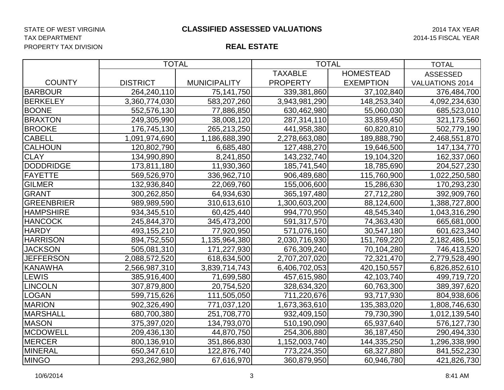TAX DEPARTMENT 2014-15 FISCAL YEAR PROPERTY TAX DIVISION

|                   | <b>TOTAL</b>    |                     | <b>TOTAL</b>    | <b>TOTAL</b>     |                        |
|-------------------|-----------------|---------------------|-----------------|------------------|------------------------|
|                   |                 |                     | <b>TAXABLE</b>  | <b>HOMESTEAD</b> | <b>ASSESSED</b>        |
| <b>COUNTY</b>     | <b>DISTRICT</b> | <b>MUNICIPALITY</b> | <b>PROPERTY</b> | <b>EXEMPTION</b> | <b>VALUATIONS 2014</b> |
| <b>BARBOUR</b>    | 264,240,110     | 75, 141, 750        | 339,381,860     | 37,102,840       | 376,484,700            |
| <b>BERKELEY</b>   | 3,360,774,030   | 583,207,260         | 3,943,981,290   | 148,253,340      | 4,092,234,630          |
| <b>BOONE</b>      | 552,576,130     | 77,886,850          | 630,462,980     | 55,060,030       | 685,523,010            |
| <b>BRAXTON</b>    | 249,305,990     | 38,008,120          | 287,314,110     | 33,859,450       | 321,173,560            |
| <b>BROOKE</b>     | 176,745,130     | 265,213,250         | 441,958,380     | 60,820,810       | 502,779,190            |
| <b>CABELL</b>     | 1,091,974,690   | 1,186,688,390       | 2,278,663,080   | 189,888,790      | 2,468,551,870          |
| <b>CALHOUN</b>    | 120,802,790     | 6,685,480           | 127,488,270     | 19,646,500       | 147, 134, 770          |
| <b>CLAY</b>       | 134,990,890     | 8,241,850           | 143,232,740     | 19,104,320       | 162,337,060            |
| <b>DODDRIDGE</b>  | 173,811,180     | 11,930,360          | 185,741,540     | 18,785,690       | 204,527,230            |
| FAYETTE           | 569,526,970     | 336,962,710         | 906,489,680     | 115,760,900      | 1,022,250,580          |
| <b>GILMER</b>     | 132,936,840     | 22,069,760          | 155,006,600     | 15,286,630       | 170,293,230            |
| GRANT             | 300,262,850     | 64,934,630          | 365,197,480     | 27,712,280       | 392,909,760            |
| <b>GREENBRIER</b> | 989,989,590     | 310,613,610         | 1,300,603,200   | 88,124,600       | 1,388,727,800          |
| <b>HAMPSHIRE</b>  | 934, 345, 510   | 60,425,440          | 994,770,950     | 48,545,340       | 1,043,316,290          |
| <b>HANCOCK</b>    | 245,844,370     | 345,473,200         | 591,317,570     | 74,363,430       | 665,681,000            |
| <b>HARDY</b>      | 493,155,210     | 77,920,950          | 571,076,160     | 30,547,180       | 601,623,340            |
| <b>HARRISON</b>   | 894,752,550     | 1,135,964,380       | 2,030,716,930   | 151,769,220      | 2,182,486,150          |
| <b>JACKSON</b>    | 505,081,310     | 171,227,930         | 676,309,240     | 70,104,280       | 746,413,520            |
| <b>JEFFERSON</b>  | 2,088,572,520   | 618,634,500         | 2,707,207,020   | 72,321,470       | 2,779,528,490          |
| <b>KANAWHA</b>    | 2,566,987,310   | 3,839,714,743       | 6,406,702,053   | 420,150,557      | 6,826,852,610          |
| <b>LEWIS</b>      | 385,916,400     | 71,699,580          | 457,615,980     | 42,103,740       | 499,719,720            |
| <b>LINCOLN</b>    | 307,879,800     | 20,754,520          | 328,634,320     | 60,763,300       | 389,397,620            |
| LOGAN             | 599,715,626     | 111,505,050         | 711,220,676     | 93,717,930       | 804,938,606            |
| <b>MARION</b>     | 902,326,490     | 771,037,120         | 1,673,363,610   | 135,383,020      | 1,808,746,630          |
| <b>MARSHALL</b>   | 680,700,380     | 251,708,770         | 932,409,150     | 79,730,390       | 1,012,139,540          |
| <b>MASON</b>      | 375,397,020     | 134,793,070         | 510,190,090     | 65,937,640       | 576,127,730            |
| <b>MCDOWELL</b>   | 209,436,130     | 44,870,750          | 254,306,880     | 36, 187, 450     | 290,494,330            |
| <b>MERCER</b>     | 800,136,910     | 351,866,830         | 1,152,003,740   | 144,335,250      | 1,296,338,990          |
| <b>MINERAL</b>    | 650,347,610     | 122,876,740         | 773,224,350     | 68,327,880       | 841,552,230            |
| <b>MINGO</b>      | 293,262,980     | 67,616,970          | 360,879,950     | 60,946,780       | 421,826,730            |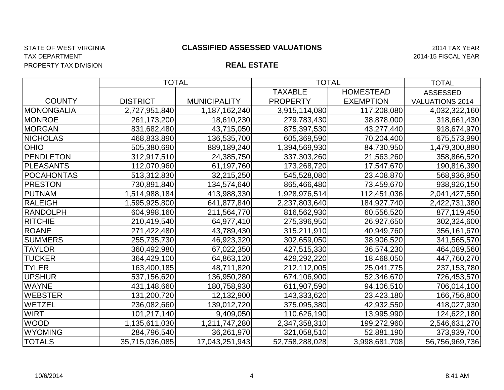## TAX DEPARTMENT 2014-15 FISCAL YEAR PROPERTY TAX DIVISION

#### STATE OF WEST VIRGINIA 2014 TAX YEAR **CLASSIFIED ASSESSED VALUATIONS**

|                   | <b>TOTAL</b>    |                     | <b>TOTAL</b>    | <b>TOTAL</b>     |                        |
|-------------------|-----------------|---------------------|-----------------|------------------|------------------------|
|                   |                 |                     | <b>TAXABLE</b>  | <b>HOMESTEAD</b> | <b>ASSESSED</b>        |
| <b>COUNTY</b>     | <b>DISTRICT</b> | <b>MUNICIPALITY</b> | <b>PROPERTY</b> | <b>EXEMPTION</b> | <b>VALUATIONS 2014</b> |
| <b>MONONGALIA</b> | 2,727,951,840   | 1,187,162,240       | 3,915,114,080   | 117,208,080      | 4,032,322,160          |
| <b>MONROE</b>     | 261,173,200     | 18,610,230          | 279,783,430     | 38,878,000       | 318,661,430            |
| <b>MORGAN</b>     | 831,682,480     | 43,715,050          | 875,397,530     | 43,277,440       | 918,674,970            |
| <b>NICHOLAS</b>   | 468,833,890     | 136,535,700         | 605,369,590     | 70,204,400       | 675,573,990            |
| <b>OHIO</b>       | 505,380,690     | 889,189,240         | 1,394,569,930   | 84,730,950       | 1,479,300,880          |
| <b>PENDLETON</b>  | 312,917,510     | 24,385,750          | 337,303,260     | 21,563,260       | 358,866,520            |
| <b>PLEASANTS</b>  | 112,070,960     | 61,197,760          | 173,268,720     | 17,547,670       | 190,816,390            |
| <b>POCAHONTAS</b> | 513,312,830     | 32,215,250          | 545,528,080     | 23,408,870       | 568,936,950            |
| <b>PRESTON</b>    | 730,891,840     | 134,574,640         | 865,466,480     | 73,459,670       | 938,926,150            |
| <b>PUTNAM</b>     | 1,514,988,184   | 413,988,330         | 1,928,976,514   | 112,451,036      | 2,041,427,550          |
| <b>RALEIGH</b>    | 595,925,800, ا  | 641,877,840         | 2,237,803,640   | 184,927,740      | 2,422,731,380          |
| <b>RANDOLPH</b>   | 604,998,160     | 211,564,770         | 816,562,930     | 60,556,520       | 877,119,450            |
| <b>RITCHIE</b>    | 210,419,540     | 64,977,410          | 275,396,950     | 26,927,650       | 302,324,600            |
| <b>ROANE</b>      | 271,422,480     | 43,789,430          | 315,211,910     | 40,949,760       | 356,161,670            |
| <b>SUMMERS</b>    | 255,735,730     | 46,923,320          | 302,659,050     | 38,906,520       | 341,565,570            |
| <b>TAYLOR</b>     | 360,492,980     | 67,022,350          | 427,515,330     | 36,574,230       | 464,089,560            |
| <b>TUCKER</b>     | 364,429,100     | 64,863,120          | 429,292,220     | 18,468,050       | 447,760,270            |
| <b>TYLER</b>      | 163,400,185     | 48,711,820          | 212,112,005     | 25,041,775       | 237, 153, 780          |
| <b>UPSHUR</b>     | 537,156,620     | 136,950,280         | 674,106,900     | 52,346,670       | 726,453,570            |
| <b>WAYNE</b>      | 431,148,660     | 180,758,930         | 611,907,590     | 94,106,510       | 706,014,100            |
| <b>WEBSTER</b>    | 131,200,720     | 12,132,900          | 143,333,620     | 23,423,180       | 166,756,800            |
| <b>WETZEL</b>     | 236,082,660     | 139,012,720         | 375,095,380     | 42,932,550       | 418,027,930            |
| <b>WIRT</b>       | 101,217,140     | 9,409,050           | 110,626,190     | 13,995,990       | 124,622,180            |
| <b>WOOD</b>       | 1,135,611,030   | 1,211,747,280       | 2,347,358,310   | 199,272,960      | 2,546,631,270          |
| <b>WYOMING</b>    | 284,796,540     | 36,261,970          | 321,058,510     | 52,881,190       | 373,939,700            |
| <b>TOTALS</b>     | 35,715,036,085  | 17,043,251,943      | 52,758,288,028  | 3,998,681,708    | 56,756,969,736         |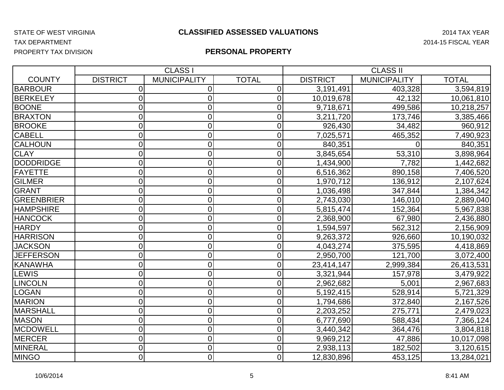## TAX DEPARTMENT 2014-15 FISCAL YEAR PROPERTY TAX DIVISION

|                   |                 | <b>CLASS I</b>      | <b>CLASS II</b> |                 |                     |              |  |
|-------------------|-----------------|---------------------|-----------------|-----------------|---------------------|--------------|--|
| <b>COUNTY</b>     | <b>DISTRICT</b> | <b>MUNICIPALITY</b> | <b>TOTAL</b>    | <b>DISTRICT</b> | <b>MUNICIPALITY</b> | <b>TOTAL</b> |  |
| <b>BARBOUR</b>    | $\overline{0}$  | $\Omega$            | 0               | 3,191,491       | 403,328             | 3,594,819    |  |
| <b>BERKELEY</b>   | 0               | 0                   | $\Omega$        | 10,019,678      | 42,132              | 10,061,810   |  |
| <b>BOONE</b>      | 0               | 0                   | 0               | 9,718,671       | 499,586             | 10,218,257   |  |
| <b>BRAXTON</b>    | 0               | 0                   | $\overline{0}$  | 3,211,720       | 173,746             | 3,385,466    |  |
| <b>BROOKE</b>     | 0               | 0                   | 0               | 926,430         | 34,482              | 960,912      |  |
| <b>CABELL</b>     | $\overline{0}$  | 0                   | 0               | 7,025,571       | 465,352             | 7,490,923    |  |
| <b>CALHOUN</b>    | 0               | 0                   | $\Omega$        | 840,351         |                     | 840,351      |  |
| <b>CLAY</b>       | 0               | 0                   | $\Omega$        | 3,845,654       | 53,310              | 3,898,964    |  |
| <b>DODDRIDGE</b>  | $\overline{0}$  | 0                   | 0               | 1,434,900       | 7,782               | 1,442,682    |  |
| <b>FAYETTE</b>    | $\overline{0}$  | 0                   | $\overline{0}$  | 6,516,362       | 890,158             | 7,406,520    |  |
| <b>GILMER</b>     | $\overline{0}$  | $\overline{0}$      | 0               | 1,970,712       | 136,912             | 2,107,624    |  |
| <b>GRANT</b>      | $\overline{0}$  | 0                   | 0               | 1,036,498       | 347,844             | 1,384,342    |  |
| <b>GREENBRIER</b> | 0               | 0                   | $\overline{0}$  | 2,743,030       | 146,010             | 2,889,040    |  |
| <b>HAMPSHIRE</b>  | 0               | 0                   | 0               | 5,815,474       | 152,364             | 5,967,838    |  |
| <b>HANCOCK</b>    | $\overline{0}$  | 0                   | 0               | 2,368,900       | 67,980              | 2,436,880    |  |
| <b>HARDY</b>      | 0               | 0                   | 0               | 1,594,597       | 562,312             | 2,156,909    |  |
| <b>HARRISON</b>   | $\overline{0}$  | $\overline{0}$      | 0               | 9,263,372       | 926,660             | 10,190,032   |  |
| <b>JACKSON</b>    | $\overline{0}$  | $\overline{0}$      | 0               | 4,043,274       | 375,595             | 4,418,869    |  |
| <b>JEFFERSON</b>  | 0               | 0                   | 0               | 2,950,700       | 121,700             | 3,072,400    |  |
| <b>KANAWHA</b>    | 0               | 0                   | $\Omega$        | 23,414,147      | 2,999,384           | 26,413,531   |  |
| <b>LEWIS</b>      | $\overline{0}$  | 0                   | $\overline{0}$  | 3,321,944       | 157,978             | 3,479,922    |  |
| <b>LINCOLN</b>    | 0               | 0                   | 0               | 2,962,682       | 5,001               | 2,967,683    |  |
| <b>LOGAN</b>      | 0               | $\overline{0}$      | 0               | 5,192,415       | 528,914             | 5,721,329    |  |
| <b>MARION</b>     | $\overline{0}$  | $\overline{0}$      | 0               | 1,794,686       | 372,840             | 2,167,526    |  |
| <b>MARSHALL</b>   | $\overline{0}$  | 0                   | 0               | 2,203,252       | 275,771             | 2,479,023    |  |
| <b>MASON</b>      | $\overline{0}$  | 0                   | 0               | 6,777,690       | 588,434             | 7,366,124    |  |
| <b>MCDOWELL</b>   | $\overline{0}$  | $\overline{0}$      | 0               | 3,440,342       | 364,476             | 3,804,818    |  |
| <b>MERCER</b>     | $\overline{0}$  | 0                   | 0               | 9,969,212       | 47,886              | 10,017,098   |  |
| <b>MINERAL</b>    | 0               | $\overline{0}$      | 0               | 2,938,113       | 182,502             | 3,120,615    |  |
| <b>MINGO</b>      | $\mathbf 0$     | $\overline{O}$      | $\Omega$        | 12,830,896      | 453,125             | 13,284,021   |  |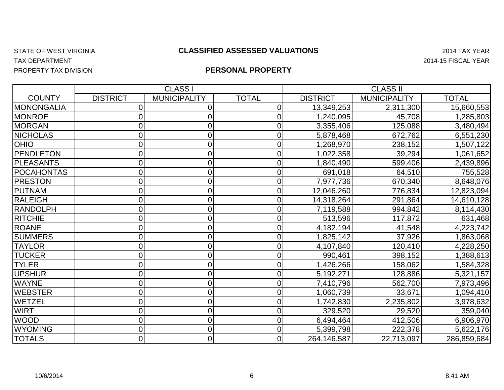## TAX DEPARTMENT 2014-15 FISCAL YEAR

#### STATE OF WEST VIRGINIA 2014 TAX YEAR **CLASSIFIED ASSESSED VALUATIONS**

PROPERTY TAX DIVISION

|                   |                 | <b>CLASS</b>        |              | <b>CLASS II</b> |                     |             |
|-------------------|-----------------|---------------------|--------------|-----------------|---------------------|-------------|
| <b>COUNTY</b>     | <b>DISTRICT</b> | <b>MUNICIPALITY</b> | <b>TOTAL</b> | <b>DISTRICT</b> | <b>MUNICIPALITY</b> | TOTAL       |
| <b>MONONGALIA</b> |                 |                     | 0            | 13,349,253      | 2,311,300           | 15,660,553  |
| <b>MONROE</b>     | 0               |                     | 0            | 1,240,095       | 45,708              | 1,285,803   |
| <b>MORGAN</b>     |                 |                     |              | 3,355,406       | 125,088             | 3,480,494   |
| <b>NICHOLAS</b>   | 0               |                     |              | 5,878,468       | 672,762             | 6,551,230   |
| <b>OHIO</b>       | 0               |                     | 0            | 1,268,970       | 238,152             | 1,507,122   |
| <b>PENDLETON</b>  | 01              |                     |              | 1,022,358       | 39,294              | 1,061,652   |
| <b>PLEASANTS</b>  | 0               |                     |              | 1,840,490       | 599,406             | 2,439,896   |
| <b>POCAHONTAS</b> | 0               |                     |              | 691,018         | 64,510              | 755,528     |
| <b>PRESTON</b>    | 0               |                     |              | 7,977,736       | 670,340             | 8,648,076   |
| <b>PUTNAM</b>     | 0               |                     |              | 12,046,260      | 776,834             | 12,823,094  |
| <b>RALEIGH</b>    | 0               |                     | 0            | 14,318,264      | 291,864             | 14,610,128  |
| <b>RANDOLPH</b>   | 0               |                     |              | 7,119,588       | 994,842             | 8,114,430   |
| <b>RITCHIE</b>    | 0               |                     | 0            | 513,596         | 117,872             | 631,468     |
| <b>ROANE</b>      | 0               |                     | $\Omega$     | 4,182,194       | 41,548              | 4,223,742   |
| <b>SUMMERS</b>    | 0               |                     |              | 1,825,142       | 37,926              | 1,863,068   |
| <b>TAYLOR</b>     | 0               |                     |              | 4,107,840       | 120,410             | 4,228,250   |
| <b>TUCKER</b>     | 0               |                     |              | 990,461         | 398,152             | 1,388,613   |
| <b>TYLER</b>      | 0               |                     |              | 1,426,266       | 158,062             | 1,584,328   |
| <b>UPSHUR</b>     | 0               |                     |              | 5,192,271       | 128,886             | 5,321,157   |
| <b>WAYNE</b>      | 0               |                     | 0            | 7,410,796       | 562,700             | 7,973,496   |
| <b>WEBSTER</b>    | 0               |                     |              | 1,060,739       | 33,671              | 1,094,410   |
| WETZEL            | 0               |                     |              | 1,742,830       | 2,235,802           | 3,978,632   |
| <b>WIRT</b>       | 0               |                     |              | 329,520         | 29,520              | 359,040     |
| <b>WOOD</b>       | 0               |                     |              | 6,494,464       | 412,506             | 6,906,970   |
| <b>WYOMING</b>    | 0               | 0                   |              | 5,399,798       | 222,378             | 5,622,176   |
| <b>TOTALS</b>     | $\overline{0}$  | 0                   | 0            | 264,146,587     | 22,713,097          | 286,859,684 |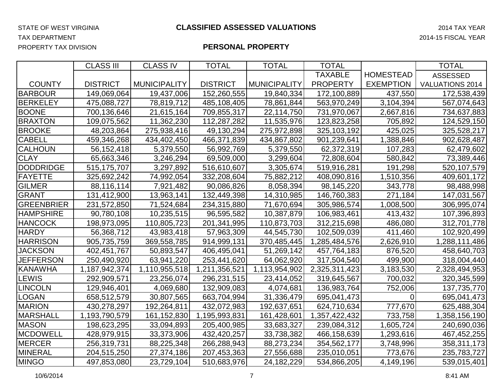TAX DEPARTMENT 2014-15 FISCAL YEAR

PROPERTY TAX DIVISION

|                   | <b>CLASS III</b> | <b>CLASS IV</b>     | <b>TOTAL</b>    | <b>TOTAL</b>        | <b>TOTAL</b>    |                  | <b>TOTAL</b>           |
|-------------------|------------------|---------------------|-----------------|---------------------|-----------------|------------------|------------------------|
|                   |                  |                     |                 |                     | <b>TAXABLE</b>  | <b>HOMESTEAD</b> | <b>ASSESSED</b>        |
| <b>COUNTY</b>     | <b>DISTRICT</b>  | <b>MUNICIPALITY</b> | <b>DISTRICT</b> | <b>MUNICIPALITY</b> | <b>PROPERTY</b> | <b>EXEMPTION</b> | <b>VALUATIONS 2014</b> |
| <b>BARBOUR</b>    | 149,069,064      | 19,437,006          | 152,260,555     | 19,840,334          | 172,100,889     | 437,550          | 172,538,439            |
| <b>BERKELEY</b>   | 475,088,727      | 78,819,712          | 485,108,405     | 78,861,844          | 563,970,249     | 3,104,394        | 567,074,643            |
| <b>BOONE</b>      | 700,136,646      | 21,615,164          | 709,855,317     | 22,114,750          | 731,970,067     | 2,667,816        | 734,637,883            |
| <b>BRAXTON</b>    | 109,075,562      | 11,362,230          | 112,287,282     | 11,535,976          | 123,823,258     | 705,892          | 124,529,150            |
| <b>BROOKE</b>     | 48,203,864       | 275,938,416         | 49,130,294      | 275,972,898         | 325,103,192     | 425,025          | 325,528,217            |
| <b>CABELL</b>     | 459,346,268      | 434,402,450         | 466,371,839     | 434,867,802         | 901,239,641     | 1,388,846        | 902,628,487            |
| <b>CALHOUN</b>    | 56, 152, 418     | 5,379,550           | 56,992,769      | 5,379,550           | 62,372,319      | 107,283          | 62,479,602             |
| <b>CLAY</b>       | 65,663,346       | 3,246,294           | 69,509,000      | 3,299,604           | 72,808,604      | 580,842          | 73,389,446             |
| <b>DODDRIDGE</b>  | 515,175,707      | 3,297,892           | 516,610,607     | 3,305,674           | 519,916,281     | 191,298          | 520,107,579            |
| <b>FAYETTE</b>    | 325,692,242      | 74,992,054          | 332,208,604     | 75,882,212          | 408,090,816     | 1,510,356        | 409,601,172            |
| <b>GILMER</b>     | 88,116,114       | 7,921,482           | 90,086,826      | 8,058,394           | 98,145,220      | 343,778          | 98,488,998             |
| GRANT             | 131,412,900      | 13,963,141          | 132,449,398     | 14,310,985          | 146,760,383     | 271,184          | 147,031,567            |
| <b>GREENBRIER</b> | 231,572,850      | 71,524,684          | 234,315,880     | 71,670,694          | 305,986,574     | 1,008,500        | 306,995,074            |
| <b>HAMPSHIRE</b>  | 90,780,108       | 10,235,515          | 96,595,582      | 10,387,879          | 106,983,461     | 413,432          | 107,396,893            |
| <b>HANCOCK</b>    | 198,973,095      | 110,805,723         | 201,341,995     | 110,873,703         | 312,215,698     | 486,080          | 312,701,778            |
| <b>HARDY</b>      | 56,368,712       | 43,983,418          | 57,963,309      | 44,545,730          | 102,509,039     | 411,460          | 102,920,499            |
| <b>HARRISON</b>   | 905,735,759      | 369,558,785         | 914,999,131     | 370,485,445         | 1,285,484,576   | 2,626,910        | 1,288,111,486          |
| <b>JACKSON</b>    | 402,451,767      | 50,893,547          | 406,495,041     | 51,269,142          | 457,764,183     | 876,520          | 458,640,703            |
| <b>JEFFERSON</b>  | 250,490,920      | 63,941,220          | 253,441,620     | 64,062,920          | 317,504,540     | 499,900          | 318,004,440            |
| <b>KANAWHA</b>    | 1,187,942,374    | 1,110,955,518       | 1,211,356,521   | 1,113,954,902       | 2,325,311,423   | 3,183,530        | 2,328,494,953          |
| <b>LEWIS</b>      | 292,909,571      | 23,256,074          | 296,231,515     | 23,414,052          | 319,645,567     | 700,032          | 320,345,599            |
| <b>LINCOLN</b>    | 129,946,401      | 4,069,680           | 132,909,083     | 4,074,681           | 136,983,764     | 752,006          | 137,735,770            |
| <b>LOGAN</b>      | 658,512,579      | 30,807,565          | 663,704,994     | 31,336,479          | 695,041,473     | $\Omega$         | 695,041,473            |
| <b>MARION</b>     | 430,278,297      | 192,264,811         | 432,072,983     | 192,637,651         | 624,710,634     | 777,670          | 625,488,304            |
| <b>MARSHALL</b>   | 1,193,790,579    | 161, 152, 830       | 1,195,993,831   | 161,428,601         | 1,357,422,432   | 733,758          | 1,358,156,190          |
| <b>MASON</b>      | 198,623,295      | 33,094,893          | 205,400,985     | 33,683,327          | 239,084,312     | 1,605,724        | 240,690,036            |
| <b>MCDOWELL</b>   | 428,979,915      | 33,373,906          | 432,420,257     | 33,738,382          | 466,158,639     | 1,293,616        | 467,452,255            |
| <b>MERCER</b>     | 256,319,731      | 88,225,348          | 266,288,943     | 88,273,234          | 354,562,177     | 3,748,996        | 358,311,173            |
| <b>MINERAL</b>    | 204,515,250      | 27,374,186          | 207,453,363     | 27,556,688          | 235,010,051     | 773,676          | 235,783,727            |
| <b>MINGO</b>      | 497,853,080      | 23,729,104          | 510,683,976     | 24, 182, 229        | 534,866,205     | 4,149,196        | 539,015,401            |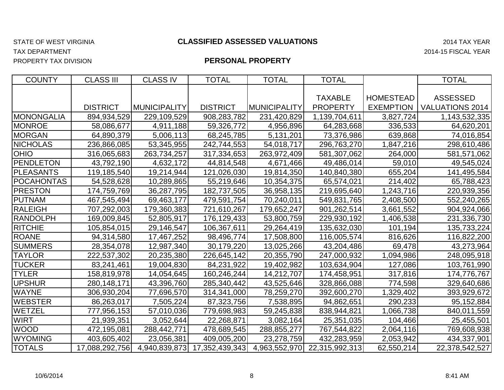## TAX DEPARTMENT 2014-15 FISCAL YEAR

PROPERTY TAX DIVISION

| <b>COUNTY</b>     | <b>CLASS III</b> | <b>CLASS IV</b>     | <b>TOTAL</b>                 | <b>TOTAL</b>  | <b>TOTAL</b>    |                  | <b>TOTAL</b>           |
|-------------------|------------------|---------------------|------------------------------|---------------|-----------------|------------------|------------------------|
|                   |                  |                     |                              |               |                 |                  |                        |
|                   |                  |                     |                              |               | <b>TAXABLE</b>  | <b>HOMESTEAD</b> | <b>ASSESSED</b>        |
|                   | <b>DISTRICT</b>  | <b>MUNICIPALITY</b> | <b>DISTRICT</b>              | MUNICIPALITY  | <b>PROPERTY</b> | <b>EXEMPTION</b> | <b>VALUATIONS 2014</b> |
| <b>MONONGALIA</b> | 894,934,529      | 229,109,529         | 908,283,782                  | 231,420,829   | 1,139,704,611   | 3,827,724        | 1,143,532,335          |
| <b>MONROE</b>     | 58,086,677       | 4,911,188           | 59,326,772                   | 4,956,896     | 64,283,668      | 336,533          | 64,620,201             |
| <b>MORGAN</b>     | 64,890,379       | 5,006,113           | 68,245,785                   | 5,131,201     | 73,376,986      | 639,868          | 74,016,854             |
| <b>NICHOLAS</b>   | 236,866,085      | 53,345,955          | 242,744,553                  | 54,018,717    | 296,763,270     | 1,847,216        | 298,610,486            |
| <b>OHIO</b>       | 316,065,683      | 263,734,257         | 317,334,653                  | 263,972,409   | 581,307,062     | 264,000          | 581,571,062            |
| <b>PENDLETON</b>  | 43,792,190       | 4,632,172           | 44,814,548                   | 4,671,466     | 49,486,014      | 59,010           | 49,545,024             |
| <b>PLEASANTS</b>  | 119,185,540      | 19,214,944          | 121,026,030                  | 19,814,350    | 140,840,380     | 655,204          | 141,495,584            |
| <b>POCAHONTAS</b> | 54,528,628       | 10,289,865          | 55,219,646                   | 10,354,375    | 65,574,021      | 214,402          | 65,788,423             |
| <b>PRESTON</b>    | 174,759,769      | 36,287,795          | 182,737,505                  | 36,958,135    | 219,695,640     | 1,243,716        | 220,939,356            |
| PUTNAM            | 467,545,494      | 69,463,177          | 479,591,754                  | 70,240,011    | 549,831,765     | 2,408,500        | 552,240,265            |
| <b>RALEIGH</b>    | 707,292,003      | 179,360,383         | 721,610,267                  | 179,652,247   | 901,262,514     | 3,661,552        | 904,924,066            |
| <b>RANDOLPH</b>   | 169,009,845      | 52,805,917          | 176,129,433                  | 53,800,759    | 229,930,192     | 1,406,538        | 231,336,730            |
| <b>RITCHIE</b>    | 105,854,015      | 29,146,547          | 106,367,611                  | 29,264,419    | 135,632,030     | 101,194          | 135,733,224            |
| <b>ROANE</b>      | 94,314,580       | 17,467,252          | 98,496,774                   | 17,508,800    | 116,005,574     | 816,626          | 116,822,200            |
| <b>SUMMERS</b>    | 28,354,078       | 12,987,340          | 30,179,220                   | 13,025,266    | 43,204,486      | 69,478           | 43,273,964             |
| <b>TAYLOR</b>     | 222,537,302      | 20,235,380          | 226,645,142                  | 20,355,790    | 247,000,932     | 1,094,986        | 248,095,918            |
| <b>TUCKER</b>     | 83,241,461       | 19,004,830          | 84,231,922                   | 19,402,982    | 103,634,904     | 127,086          | 103,761,990            |
| <b>TYLER</b>      | 158,819,978      | 14,054,645          | 160,246,244                  | 14,212,707    | 174,458,951     | 317,816          | 174,776,767            |
| <b>UPSHUR</b>     | 280,148,171      | 43,396,760          | 285,340,442                  | 43,525,646    | 328,866,088     | 774,598          | 329,640,686            |
| <b>WAYNE</b>      | 306,930,204      | 77,696,570          | 314,341,000                  | 78,259,270    | 392,600,270     | 1,329,402        | 393,929,672            |
| <b>WEBSTER</b>    | 86,263,017       | 7,505,224           | 87,323,756                   | 7,538,895     | 94,862,651      | 290,233          | 95,152,884             |
| <b>WETZEL</b>     | 777,956,153      | 57,010,036          | 779,698,983                  | 59,245,838    | 838,944,821     | 1,066,738        | 840,011,559            |
| <b>WIRT</b>       | 21,939,351       | 3,052,644           | 22,268,871                   | 3,082,164     | 25,351,035      | 104,466          | 25,455,501             |
| <b>WOOD</b>       | 472,195,081      | 288,442,771         | 478,689,545                  | 288,855,277   | 767,544,822     | 2,064,116        | 769,608,938            |
| <b>WYOMING</b>    | 403,605,402      | 23,056,381          | 409,005,200                  | 23,278,759    | 432,283,959     | 2,053,942        | 434,337,901            |
| <b>TOTALS</b>     | 17,088,292,756   |                     | 4,940,839,873 17,352,439,343 | 4,963,552,970 | 22,315,992,313  | 62,550,214       | 22,378,542,527         |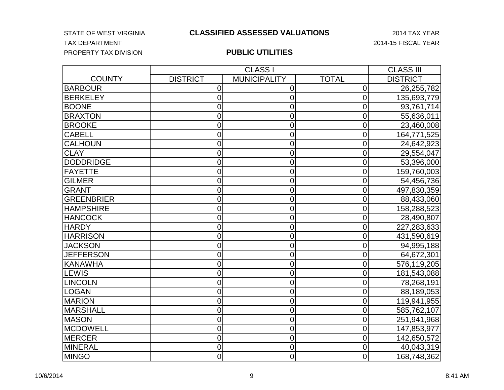#### STATE OF WEST VIRGINIA **CLASSIFIED ASSESSED VALUATIONS** 2014 TAX YEAR

## TAX DEPARTMENT 2014-15 FISCAL YEAR PROPERTY TAX DIVISION

|                   |                 | <b>CLASS I</b>      |                | <b>CLASS III</b> |
|-------------------|-----------------|---------------------|----------------|------------------|
| <b>COUNTY</b>     | <b>DISTRICT</b> | <b>MUNICIPALITY</b> | <b>TOTAL</b>   | <b>DISTRICT</b>  |
| <b>BARBOUR</b>    | $\mathbf 0$     | 0                   | 0              | 26,255,782       |
| <b>BERKELEY</b>   | $\overline{0}$  | 0                   | $\overline{0}$ | 135,693,779      |
| <b>BOONE</b>      | 0               | 0                   | 0              | 93,761,714       |
| <b>BRAXTON</b>    | $\mathbf 0$     | $\overline{0}$      | $\overline{0}$ | 55,636,011       |
| <b>BROOKE</b>     | $\overline{0}$  | 0                   | $\mathbf 0$    | 23,460,008       |
| <b>CABELL</b>     | $\overline{0}$  | 0                   | $\mathbf 0$    | 164,771,525      |
| <b>CALHOUN</b>    | $\overline{0}$  | 0                   | $\overline{0}$ | 24,642,923       |
| <b>CLAY</b>       | $\mathbf 0$     | 0                   | $\mathbf 0$    | 29,554,047       |
| <b>DODDRIDGE</b>  | 0               | 0                   | $\overline{0}$ | 53,396,000       |
| <b>FAYETTE</b>    | $\mathbf 0$     | 0                   | 0              | 159,760,003      |
| <b>GILMER</b>     | $\overline{0}$  | 0                   | $\mathbf 0$    | 54,456,736       |
| <b>GRANT</b>      | $\overline{0}$  | 0                   | 0              | 497,830,359      |
| <b>GREENBRIER</b> | $\mathbf 0$     | 0                   | 0              | 88,433,060       |
| <b>HAMPSHIRE</b>  | 0               | 0                   | $\overline{0}$ | 158,288,523      |
| <b>HANCOCK</b>    | $\overline{0}$  | 0                   | 0              | 28,490,807       |
| <b>HARDY</b>      | $\overline{0}$  | 0                   | $\overline{0}$ | 227,283,633      |
| <b>HARRISON</b>   | $\mathbf 0$     | 0                   | $\mathbf 0$    | 431,590,619      |
| <b>JACKSON</b>    | $\overline{0}$  | 0                   | $\overline{0}$ | 94,995,188       |
| <b>JEFFERSON</b>  | $\overline{0}$  | 0                   | 0              | 64,672,301       |
| <b>KANAWHA</b>    | $\mathbf 0$     | 0                   | 0              | 576,119,205      |
| LEWIS             | $\overline{0}$  | $\overline{0}$      | $\overline{0}$ | 181,543,088      |
| LINCOLN           | $\mathbf 0$     | 0                   | $\overline{0}$ | 78,268,191       |
| LOGAN             | $\overline{0}$  | 0                   | $\mathbf 0$    | 88,189,053       |
| <b>MARION</b>     | $\overline{0}$  | 0                   | $\overline{0}$ | 119,941,955      |
| <b>MARSHALL</b>   | $\overline{0}$  | 0                   | $\overline{0}$ | 585,762,107      |
| <b>MASON</b>      | 0               | 0                   | 0              | 251,941,968      |
| MCDOWELL          | 0               | 0                   | $\overline{0}$ | 147,853,977      |
| MERCER            | $\overline{0}$  | $\overline{0}$      | $\overline{0}$ | 142,650,572      |
| <b>MINERAL</b>    | $\mathbf 0$     | 0                   | 0              | 40,043,319       |
| MINGO             | $\overline{0}$  | $\overline{0}$      | $\overline{0}$ | 168,748,362      |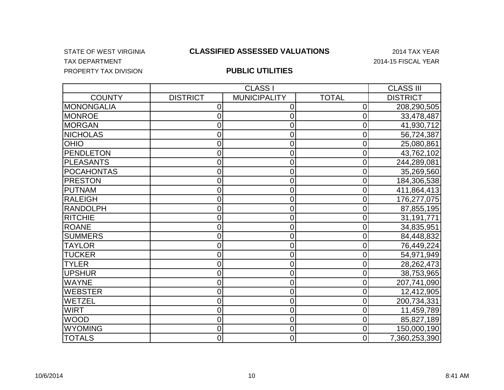## TAX DEPARTMENT TAX OF A SERIES AND THE SERIES OF A SERIES AND THE SERIES OF A SERIES OF A SERIES OF A SERIES OF A SERIES OF A SERIES OF A SERIES OF A SERIES OF A SERIES OF A SERIES OF A SERIES OF A SERIES OF A SERIES OF A PROPERTY TAX DIVISION

#### STATE OF WEST VIRGINIA 2014 TAX YEAR **CLASSIFIED ASSESSED VALUATIONS**

|                   |                 | <b>CLASS I</b>      |              | <b>CLASS III</b> |
|-------------------|-----------------|---------------------|--------------|------------------|
| <b>COUNTY</b>     | <b>DISTRICT</b> | <b>MUNICIPALITY</b> | <b>TOTAL</b> | <b>DISTRICT</b>  |
| MONONGALIA        | 0               | 0                   | 0            | 208,290,505      |
| <b>MONROE</b>     | 0               | 0                   | 0            | 33,478,487       |
| <b>MORGAN</b>     | 0               | 0                   | 0            | 41,930,712       |
| <b>NICHOLAS</b>   | 0               | 0                   | 0            | 56,724,387       |
| <b>OHIO</b>       | 0               | 0                   | 0            | 25,080,861       |
| <b>PENDLETON</b>  | 0               | 0                   | 0            | 43,762,102       |
| PLEASANTS         | 0               | 0                   | 0            | 244,289,081      |
| <b>POCAHONTAS</b> | 0               | 0                   | 0            | 35,269,560       |
| <b>PRESTON</b>    | 0               | 0                   | 0            | 184,306,538      |
| PUTNAM            | 0               | 0                   | 0            | 411,864,413      |
| RALEIGH           | 0               | 0                   | 0            | 176,277,075      |
| <b>RANDOLPH</b>   | 0               | 0                   | 0            | 87,855,195       |
| <b>RITCHIE</b>    | 0               | 0                   | 0            | 31,191,771       |
| <b>ROANE</b>      | 0               | 0                   | 0            | 34,835,951       |
| <b>SUMMERS</b>    | 0               | 0                   | 0            | 84,448,832       |
| <b>TAYLOR</b>     | 0               | 0                   | 0            | 76,449,224       |
| <b>TUCKER</b>     | 0               | 0                   | 0            | 54,971,949       |
| <b>TYLER</b>      | 0               | 0                   | 0            | 28,262,473       |
| <b>UPSHUR</b>     | 0               | 0                   | 0            | 38,753,965       |
| <b>WAYNE</b>      | 0               | 0                   | 0            | 207,741,090      |
| <b>WEBSTER</b>    | 0               | 0                   | 0            | 12,412,905       |
| WETZEL            | 0               | 0                   | 0            | 200,734,331      |
| <b>WIRT</b>       | 0               | 0                   | 0            | 11,459,789       |
| <b>WOOD</b>       | 0               | 0                   | 0            | 85,827,189       |
| <b>WYOMING</b>    | 0               | 0                   | 0            | 150,000,190      |
| <b>TOTALS</b>     | 0               | $\overline{0}$      | 0            | 7,360,253,390    |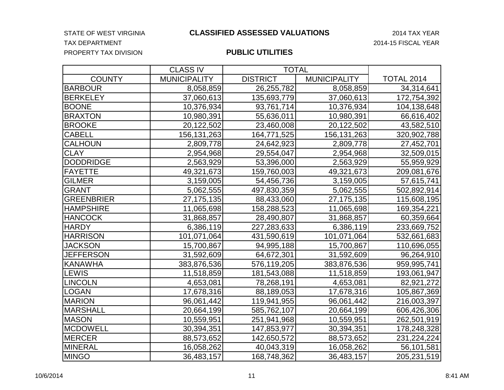STATE OF WEST VIRGINIA **CLASSIFIED ASSESSED VALUATIONS** 2014 TAX YEAR

#### TAX DEPARTMENT 2014-15 FISCAL YEAR PROPERTY TAX DIVISION

|                   | <b>CLASS IV</b>     | <b>TOTAL</b>    |                     |                   |
|-------------------|---------------------|-----------------|---------------------|-------------------|
| <b>COUNTY</b>     | <b>MUNICIPALITY</b> | <b>DISTRICT</b> | <b>MUNICIPALITY</b> | <b>TOTAL 2014</b> |
| <b>BARBOUR</b>    | 8,058,859           | 26,255,782      | 8,058,859           | 34,314,641        |
| <b>BERKELEY</b>   | 37,060,613          | 135,693,779     | 37,060,613          | 172,754,392       |
| <b>BOONE</b>      | 10,376,934          | 93,761,714      | 10,376,934          | 104,138,648       |
| <b>BRAXTON</b>    | 10,980,391          | 55,636,011      | 10,980,391          | 66,616,402        |
| <b>BROOKE</b>     | 20,122,502          | 23,460,008      | 20,122,502          | 43,582,510        |
| <b>CABELL</b>     | 156, 131, 263       | 164,771,525     | 156, 131, 263       | 320,902,788       |
| <b>CALHOUN</b>    | 2,809,778           | 24,642,923      | 2,809,778           | 27,452,701        |
| <b>CLAY</b>       | 2,954,968           | 29,554,047      | 2,954,968           | 32,509,015        |
| <b>DODDRIDGE</b>  | 2,563,929           | 53,396,000      | 2,563,929           | 55,959,929        |
| <b>FAYETTE</b>    | 49,321,673          | 159,760,003     | 49,321,673          | 209,081,676       |
| <b>GILMER</b>     | 3,159,005           | 54,456,736      | 3,159,005           | 57,615,741        |
| <b>GRANT</b>      | 5,062,555           | 497,830,359     | 5,062,555           | 502,892,914       |
| <b>GREENBRIER</b> | 27, 175, 135        | 88,433,060      | 27,175,135          | 115,608,195       |
| <b>HAMPSHIRE</b>  | 11,065,698          | 158,288,523     | 11,065,698          | 169,354,221       |
| <b>HANCOCK</b>    | 31,868,857          | 28,490,807      | 31,868,857          | 60,359,664        |
| <b>HARDY</b>      | 6,386,119           | 227,283,633     | 6,386,119           | 233,669,752       |
| <b>HARRISON</b>   | 101,071,064         | 431,590,619     | 101,071,064         | 532,661,683       |
| <b>JACKSON</b>    | 15,700,867          | 94,995,188      | 15,700,867          | 110,696,055       |
| <b>JEFFERSON</b>  | 31,592,609          | 64,672,301      | 31,592,609          | 96,264,910        |
| <b>KANAWHA</b>    | 383,876,536         | 576,119,205     | 383,876,536         | 959,995,741       |
| LEWIS             | 11,518,859          | 181,543,088     | 11,518,859          | 193,061,947       |
| LINCOLN           | 4,653,081           | 78,268,191      | 4,653,081           | 82,921,272        |
| <b>LOGAN</b>      | 17,678,316          | 88,189,053      | 17,678,316          | 105,867,369       |
| <b>MARION</b>     | 96,061,442          | 119,941,955     | 96,061,442          | 216,003,397       |
| <b>MARSHALL</b>   | 20,664,199          | 585,762,107     | 20,664,199          | 606,426,306       |
| <b>MASON</b>      | 10,559,951          | 251,941,968     | 10,559,951          | 262,501,919       |
| <b>MCDOWELL</b>   | 30,394,351          | 147,853,977     | 30,394,351          | 178,248,328       |
| MERCER            | 88,573,652          | 142,650,572     | 88,573,652          | 231,224,224       |
| MINERAL           | 16,058,262          | 40,043,319      | 16,058,262          | 56,101,581        |
| <b>MINGO</b>      | 36,483,157          | 168,748,362     | 36,483,157          | 205,231,519       |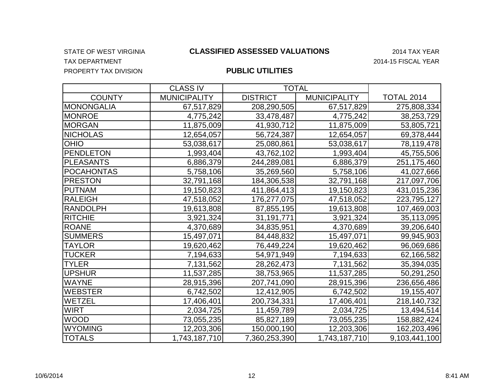## TAX DEPARTMENT 2014-15 FISCAL YEAR PROPERTY TAX DIVISION

#### STATE OF WEST VIRGINIA 2014 TAX YEAR **CLASSIFIED ASSESSED VALUATIONS**

|                   | <b>CLASS IV</b>     | <b>TOTAL</b>    |                     |                   |
|-------------------|---------------------|-----------------|---------------------|-------------------|
| <b>COUNTY</b>     | <b>MUNICIPALITY</b> | <b>DISTRICT</b> | <b>MUNICIPALITY</b> | <b>TOTAL 2014</b> |
| <b>MONONGALIA</b> | 67,517,829          | 208,290,505     | 67,517,829          | 275,808,334       |
| <b>MONROE</b>     | 4,775,242           | 33,478,487      | 4,775,242           | 38,253,729        |
| <b>MORGAN</b>     | 11,875,009          | 41,930,712      | 11,875,009          | 53,805,721        |
| <b>NICHOLAS</b>   | 12,654,057          | 56,724,387      | 12,654,057          | 69,378,444        |
| <b>OHIO</b>       | 53,038,617          | 25,080,861      | 53,038,617          | 78,119,478        |
| <b>PENDLETON</b>  | 1,993,404           | 43,762,102      | 1,993,404           | 45,755,506        |
| <b>PLEASANTS</b>  | 6,886,379           | 244,289,081     | 6,886,379           | 251,175,460       |
| <b>POCAHONTAS</b> | 5,758,106           | 35,269,560      | 5,758,106           | 41,027,666        |
| <b>PRESTON</b>    | 32,791,168          | 184,306,538     | 32,791,168          | 217,097,706       |
| <b>PUTNAM</b>     | 19,150,823          | 411,864,413     | 19,150,823          | 431,015,236       |
| <b>RALEIGH</b>    | 47,518,052          | 176,277,075     | 47,518,052          | 223,795,127       |
| <b>RANDOLPH</b>   | 19,613,808          | 87,855,195      | 19,613,808          | 107,469,003       |
| <b>RITCHIE</b>    | 3,921,324           | 31,191,771      | 3,921,324           | 35,113,095        |
| <b>ROANE</b>      | 4,370,689           | 34,835,951      | 4,370,689           | 39,206,640        |
| <b>SUMMERS</b>    | 15,497,071          | 84,448,832      | 15,497,071          | 99,945,903        |
| <b>TAYLOR</b>     | 19,620,462          | 76,449,224      | 19,620,462          | 96,069,686        |
| <b>TUCKER</b>     | 7,194,633           | 54,971,949      | 7,194,633           | 62,166,582        |
| <b>TYLER</b>      | 7,131,562           | 28, 262, 473    | 7,131,562           | 35,394,035        |
| <b>UPSHUR</b>     | 11,537,285          | 38,753,965      | 11,537,285          | 50,291,250        |
| <b>WAYNE</b>      | 28,915,396          | 207,741,090     | 28,915,396          | 236,656,486       |
| <b>WEBSTER</b>    | 6,742,502           | 12,412,905      | 6,742,502           | 19,155,407        |
| <b>WETZEL</b>     | 17,406,401          | 200,734,331     | 17,406,401          | 218,140,732       |
| <b>WIRT</b>       | 2,034,725           | 11,459,789      | 2,034,725           | 13,494,514        |
| <b>WOOD</b>       | 73,055,235          | 85,827,189      | 73,055,235          | 158,882,424       |
| <b>WYOMING</b>    | 12,203,306          | 150,000,190     | 12,203,306          | 162,203,496       |
| <b>TOTALS</b>     | 1,743,187,710       | 7,360,253,390   | 1,743,187,710       | 9,103,441,100     |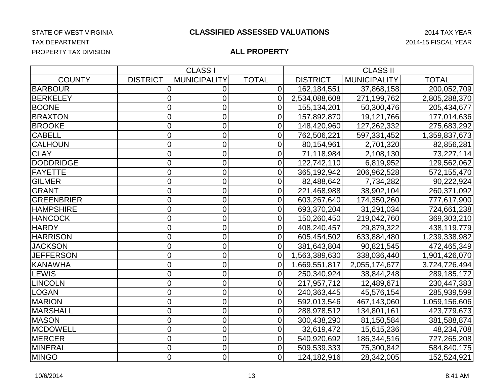## TAX DEPARTMENT 2014-15 FISCAL YEAR PROPERTY TAX DIVISION

|                   |                 | <b>CLASS I</b>      |                | <b>CLASS II</b> |                     |               |
|-------------------|-----------------|---------------------|----------------|-----------------|---------------------|---------------|
| <b>COUNTY</b>     | <b>DISTRICT</b> | <b>MUNICIPALITY</b> | <b>TOTAL</b>   | <b>DISTRICT</b> | <b>MUNICIPALITY</b> | <b>TOTAL</b>  |
| <b>BARBOUR</b>    | 0               | 0                   | $\overline{0}$ | 162,184,551     | 37,868,158          | 200,052,709   |
| <b>BERKELEY</b>   | 0               | 0                   | $\overline{0}$ | 2,534,088,608   | 271,199,762         | 2,805,288,370 |
| <b>BOONE</b>      | 0               | 0                   | $\overline{0}$ | 155,134,201     | 50,300,476          | 205,434,677   |
| <b>BRAXTON</b>    | 0               | 0                   | 0              | 157,892,870     | 19,121,766          | 177,014,636   |
| <b>BROOKE</b>     | $\mathbf 0$     | 0                   | 0              | 148,420,960     | 127,262,332         | 275,683,292   |
| <b>CABELL</b>     | 0               | $\overline{0}$      | $\overline{0}$ | 762,506,221     | 597,331,452         | 1,359,837,673 |
| <b>CALHOUN</b>    | 0               | $\overline{0}$      | 0              | 80,154,961      | 2,701,320           | 82,856,281    |
| <b>CLAY</b>       | $\mathbf 0$     | 0                   | 0              | 71,118,984      | 2,108,130           | 73,227,114    |
| <b>DODDRIDGE</b>  | 0               | 0                   | $\overline{0}$ | 122,742,110     | 6,819,952           | 129,562,062   |
| FAYETTE           | $\overline{0}$  | $\overline{0}$      | 0              | 365,192,942     | 206,962,528         | 572,155,470   |
| <b>GILMER</b>     | $\mathbf 0$     | 0                   | $\overline{0}$ | 82,488,642      | 7,734,282           | 90,222,924    |
| GRANT             | $\mathbf 0$     | 0                   | $\mathbf 0$    | 221,468,988     | 38,902,104          | 260,371,092   |
| <b>GREENBRIER</b> | 0               | 0                   | 0              | 603,267,640     | 174,350,260         | 777,617,900   |
| <b>HAMPSHIRE</b>  | $\mathbf 0$     | 0                   | $\overline{0}$ | 693,370,204     | 31,291,034          | 724,661,238   |
| <b>HANCOCK</b>    | 0               | 0                   | $\overline{0}$ | 150,260,450     | 219,042,760         | 369,303,210   |
| <b>HARDY</b>      | 0               | 0                   | 0              | 408,240,457     | 29,879,322          | 438,119,779   |
| <b>HARRISON</b>   | $\mathbf 0$     | 0                   | $\overline{0}$ | 605,454,502     | 633,884,480         | 1,239,338,982 |
| <b>JACKSON</b>    | 0               | 0                   | $\Omega$       | 381,643,804     | 90,821,545          | 472,465,349   |
| <b>JEFFERSON</b>  | 0               | 0                   | 0              | 1,563,389,630   | 338,036,440         | 1,901,426,070 |
| <b>KANAWHA</b>    | $\mathbf 0$     | 0                   | $\overline{0}$ | 1,669,551,817   | 2,055,174,677       | 3,724,726,494 |
| <b>LEWIS</b>      | 0               | 0                   | $\overline{0}$ | 250,340,924     | 38,844,248          | 289,185,172   |
| <b>LINCOLN</b>    | 0               | $\overline{0}$      | 0              | 217,957,712     | 12,489,671          | 230,447,383   |
| <b>LOGAN</b>      | $\mathbf 0$     | 0                   | 0              | 240,363,445     | 45,576,154          | 285,939,599   |
| <b>MARION</b>     | $\mathbf 0$     | 0                   | $\overline{0}$ | 592,013,546     | 467,143,060         | 1,059,156,606 |
| MARSHALL          | 0               | 0                   | 0              | 288,978,512     | 134,801,161         | 423,779,673   |
| <b>MASON</b>      | 0               | 0                   | 0              | 300,438,290     | 81,150,584          | 381,588,874   |
| <b>MCDOWELL</b>   | 0               | $\overline{0}$      | $\Omega$       | 32,619,472      | 15,615,236          | 48,234,708    |
| <b>MERCER</b>     | $\mathbf 0$     | 0                   | 0              | 540,920,692     | 186,344,516         | 727,265,208   |
| MINERAL           | $\mathbf 0$     | 0                   | 0              | 509,539,333     | 75,300,842          | 584,840,175   |
| <b>MINGO</b>      | $\overline{0}$  | 0                   | $\overline{0}$ | 124,182,916     | 28,342,005          | 152,524,921   |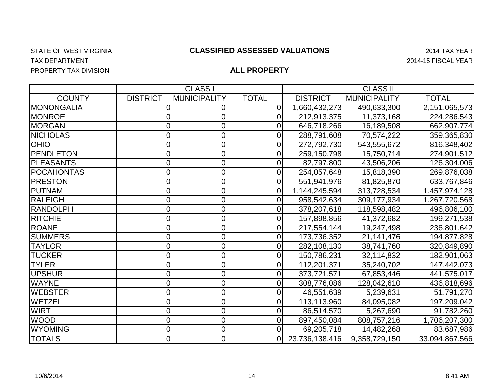TAX DEPARTMENT 2014-15 FISCAL YEAR PROPERTY TAX DIVISION

|                   |                 | <b>CLASS I</b>      |              |                 | <b>CLASS II</b>     |                |
|-------------------|-----------------|---------------------|--------------|-----------------|---------------------|----------------|
| <b>COUNTY</b>     | <b>DISTRICT</b> | <b>MUNICIPALITY</b> | <b>TOTAL</b> | <b>DISTRICT</b> | <b>MUNICIPALITY</b> | <b>TOTAL</b>   |
| <b>MONONGALIA</b> |                 | 0                   | 0            | 1,660,432,273   | 490,633,300         | 2,151,065,573  |
| <b>MONROE</b>     |                 | C                   | 0            | 212,913,375     | 11,373,168          | 224,286,543    |
| <b>MORGAN</b>     | 0               | 0                   | 0            | 646,718,266     | 16,189,508          | 662,907,774    |
| <b>NICHOLAS</b>   |                 | 0                   | 0            | 288,791,608     | 70,574,222          | 359,365,830    |
| <b>OHO</b>        | 0               | 0                   | 0            | 272,792,730     | 543,555,672         | 816,348,402    |
| <b>PENDLETON</b>  |                 | 0                   |              | 259,150,798     | 15,750,714          | 274,901,512    |
| <b>PLEASANTS</b>  |                 | 0                   |              | 82,797,800      | 43,506,206          | 126,304,006    |
| <b>POCAHONTAS</b> |                 | 0                   | 0            | 254,057,648     | 15,818,390          | 269,876,038    |
| <b>PRESTON</b>    | 0               | 0                   | 0            | 551,941,976     | 81,825,870          | 633,767,846    |
| PUTNAM            | 0               | 0                   | 0            | 1,144,245,594   | 313,728,534         | 1,457,974,128  |
| RALEIGH           |                 | 0                   | 0            | 958,542,634     | 309,177,934         | 1,267,720,568  |
| RANDOLPH          | 0               | 0                   | 0            | 378,207,618     | 118,598,482         | 496,806,100    |
| <b>RITCHIE</b>    | 0               | 0                   | 0            | 157,898,856     | 41,372,682          | 199,271,538    |
| <b>ROANE</b>      |                 | 0                   | 0            | 217,554,144     | 19,247,498          | 236,801,642    |
| <b>SUMMERS</b>    | 0               | 0                   | 0            | 173,736,352     | 21, 141, 476        | 194,877,828    |
| <b>TAYLOR</b>     | 0               | $\overline{0}$      | 0            | 282,108,130     | 38,741,760          | 320,849,890    |
| <b>TUCKER</b>     | 0               | 0                   | 0            | 150,786,231     | 32,114,832          | 182,901,063    |
| <b>TYLER</b>      | 0               | 0                   | 0            | 112,201,371     | 35,240,702          | 147,442,073    |
| UPSHUR            |                 | 0                   | 0            | 373,721,571     | 67,853,446          | 441,575,017    |
| <b>WAYNE</b>      |                 | 0                   |              | 308,776,086     | 128,042,610         | 436,818,696    |
| <b>WEBSTER</b>    |                 | 0                   |              | 46,551,639      | 5,239,631           | 51,791,270     |
| <b>WETZEL</b>     |                 | 0                   | 0            | 113,113,960     | 84,095,082          | 197,209,042    |
| <b>WIRT</b>       |                 | 0                   | 0            | 86,514,570      | 5,267,690           | 91,782,260     |
| <b>WOOD</b>       | 0               | 0                   |              | 897,450,084     | 808,757,216         | 1,706,207,300  |
| <b>WYOMING</b>    | 0               | 0                   | 0            | 69,205,718      | 14,482,268          | 83,687,986     |
| <b>TOTALS</b>     | 0               | 0                   | 0            | 23,736,138,416  | 9,358,729,150       | 33,094,867,566 |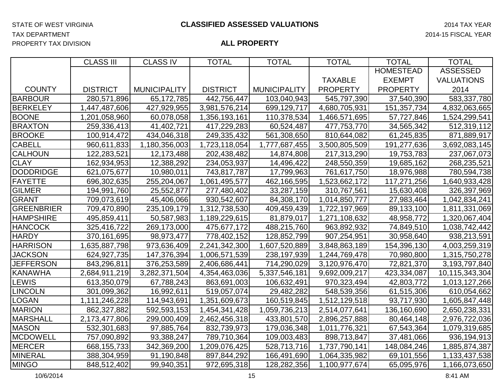|                   | <b>CLASS III</b> | <b>CLASS IV</b>     | <b>TOTAL</b>    | <b>TOTAL</b>        | <b>TOTAL</b>    | <b>TOTAL</b>     | <b>TOTAL</b>      |
|-------------------|------------------|---------------------|-----------------|---------------------|-----------------|------------------|-------------------|
|                   |                  |                     |                 |                     |                 | <b>HOMESTEAD</b> | <b>ASSESSED</b>   |
|                   |                  |                     |                 |                     | <b>TAXABLE</b>  | <b>EXEMPT</b>    | <b>VALUATIONS</b> |
| <b>COUNTY</b>     | <b>DISTRICT</b>  | <b>MUNICIPALITY</b> | <b>DISTRICT</b> | <b>MUNICIPALITY</b> | <b>PROPERTY</b> | <b>PROPERTY</b>  | 2014              |
| <b>BARBOUR</b>    | 280,571,896      | 65,172,785          | 442,756,447     | 103,040,943         | 545,797,390     | 37,540,390       | 583,337,780       |
| <b>BERKELEY</b>   | 1,447,487,606    | 427,929,955         | 3,981,576,214   | 699,129,717         | 4,680,705,931   | 151,357,734      | 4,832,063,665     |
| <b>BOONE</b>      | 1,201,058,960    | 60,078,058          | 1,356,193,161   | 110,378,534         | 1,466,571,695   | 57,727,846       | 1,524,299,541     |
| <b>BRAXTON</b>    | 259,336,413      | 41,402,721          | 417,229,283     | 60,524,487          | 477,753,770     | 34,565,342       | 512,319,112       |
| <b>BROOKE</b>     | 100,914,472      | 434,046,318         | 249,335,432     | 561,308,650         | 810,644,082     | 61,245,835       | 871,889,917       |
| <b>CABELL</b>     | 960,611,833      | 1,180,356,003       | 1,723,118,054   | 1,777,687,455       | 3,500,805,509   | 191,277,636      | 3,692,083,145     |
| <b>CALHOUN</b>    | 122,283,521      | 12,173,488          | 202,438,482     | 14,874,808          | 217,313,290     | 19,753,783       | 237,067,073       |
| <b>CLAY</b>       | 162,934,953      | 12,388,292          | 234,053,937     | 14,496,422          | 248,550,359     | 19,685,162       | 268,235,521       |
| <b>DODDRIDGE</b>  | 621,075,677      | 10,980,011          | 743,817,787     | 17,799,963          | 761,617,750     | 18,976,988       | 780,594,738       |
| <b>FAYETTE</b>    | 696,302,635      | 255,204,067         | 1,061,495,577   | 462,166,595         | 1,523,662,172   | 117,271,256      | 1,640,933,428     |
| <b>GILMER</b>     | 194,991,760      | 25,552,877          | 277,480,402     | 33,287,159          | 310,767,561     | 15,630,408       | 326,397,969       |
| <b>GRANT</b>      | 709,073,619      | 45,406,066          | 930,542,607     | 84,308,170          | 1,014,850,777   | 27,983,464       | 1,042,834,241     |
| <b>GREENBRIER</b> | 709,470,890      | 235,109,179         | 1,312,738,530   | 409,459,439         | 1,722,197,969   | 89,133,100       | 1,811,331,069     |
| <b>HAMPSHIRE</b>  | 495,859,411      | 50,587,983          | 1,189,229,615   | 81,879,017          | 1,271,108,632   | 48,958,772       | 1,320,067,404     |
| <b>HANCOCK</b>    | 325,416,722      | 269,173,000         | 475,677,172     | 488,215,760         | 963,892,932     | 74,849,510       | 1,038,742,442     |
| <b>HARDY</b>      | 370,161,695      | 98,973,477          | 778,402,152     | 128,852,799         | 907,254,951     | 30,958,640       | 938,213,591       |
| <b>HARRISON</b>   | 1,635,887,798    | 973,636,409         | 2,241,342,300   | 1,607,520,889       | 3,848,863,189   | 154,396,130      | 4,003,259,319     |
| <b>JACKSON</b>    | 624,927,735      | 147,376,394         | 1,006,571,539   | 238,197,939         | 1,244,769,478   | 70,980,800       | 1,315,750,278     |
| <b>JEFFERSON</b>  | 843,296,811      | 376,253,589         | 2,406,686,441   | 714,290,029         | 3,120,976,470   | 72,821,370       | 3,193,797,840     |
| <b>KANAWHA</b>    | 2,684,911,219    | 3,282,371,504       | 4,354,463,036   | 5,337,546,181       | 9,692,009,217   | 423,334,087      | 10,115,343,304    |
| <b>LEWIS</b>      | 613,350,079      | 67,788,243          | 863,691,003     | 106,632,491         | 970,323,494     | 42,803,772       | 1,013,127,266     |
| <b>LINCOLN</b>    | 301,099,362      | 16,992,611          | 519,057,074     | 29,482,282          | 548,539,356     | 61,515,306       | 610,054,662       |
| <b>LOGAN</b>      | 1,111,246,228    | 114,943,691         | 1,351,609,673   | 160,519,845         | 1,512,129,518   | 93,717,930       | 1,605,847,448     |
| <b>MARION</b>     | 862,327,882      | 592,593,153         | 1,454,341,428   | 1,059,736,213       | 2,514,077,641   | 136,160,690      | 2,650,238,331     |
| <b>MARSHALL</b>   | 2,173,477,806    | 299,000,409         | 2,462,456,318   | 433,801,570         | 2,896,257,888   | 80,464,148       | 2,976,722,036     |
| <b>MASON</b>      | 532,301,683      | 97,885,764          | 832,739,973     | 179,036,348         | 1,011,776,321   | 67,543,364       | 1,079,319,685     |
| <b>MCDOWELL</b>   | 757,090,892      | 93,388,247          | 789,710,364     | 109,003,483         | 898,713,847     | 37,481,066       | 936,194,913       |
| <b>MERCER</b>     | 668, 155, 733    | 342,369,200         | 1,209,076,425   | 528,713,716         | 1,737,790,141   | 148,084,246      | 1,885,874,387     |
| <b>MINERAL</b>    | 388,304,959      | 91,190,848          | 897,844,292     | 166,491,690         | 1,064,335,982   | 69,101,556       | 1,133,437,538     |
| <b>MINGO</b>      | 848,512,402      | 99,940,351          | 972,695,318     | 128,282,356         | 1,100,977,674   | 65,095,976       | 1,166,073,650     |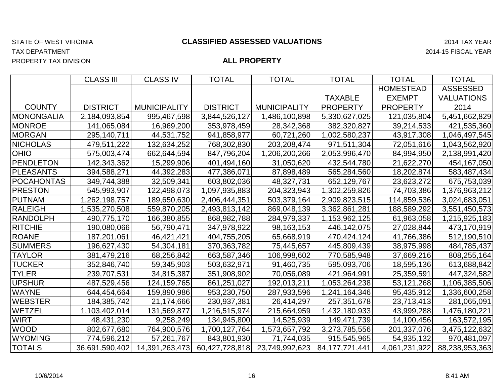PROPERTY TAX DIVISION

#### STATE OF WEST VIRGINIA 2014 TAX YEAR **CLASSIFIED ASSESSED VALUATIONS**

TAX DEPARTMENT 2014-15 FISCAL YEAR

|                   | <b>CLASS III</b> | <b>CLASS IV</b>                 | <b>TOTAL</b>    | <b>TOTAL</b>        | <b>TOTAL</b>                  | <b>TOTAL</b>     | <b>TOTAL</b>      |
|-------------------|------------------|---------------------------------|-----------------|---------------------|-------------------------------|------------------|-------------------|
|                   |                  |                                 |                 |                     |                               | <b>HOMESTEAD</b> | <b>ASSESSED</b>   |
|                   |                  |                                 |                 |                     | <b>TAXABLE</b>                | <b>EXEMPT</b>    | <b>VALUATIONS</b> |
| <b>COUNTY</b>     | <b>DISTRICT</b>  | <b>MUNICIPALITY</b>             | <b>DISTRICT</b> | <b>MUNICIPALITY</b> | <b>PROPERTY</b>               | <b>PROPERTY</b>  | 2014              |
| <b>MONONGALIA</b> | 2,184,093,854    | 995,467,598                     | 3,844,526,127   | 1,486,100,898       | 5,330,627,025                 | 121,035,804      | 5,451,662,829     |
| <b>MONROE</b>     | 141,065,084      | 16,969,200                      | 353,978,459     | 28,342,368          | 382,320,827                   | 39,214,533       | 421,535,360       |
| <b>MORGAN</b>     | 295,140,711      | 44,531,752                      | 941,858,977     | 60,721,260          | 1,002,580,237                 | 43,917,308       | 1,046,497,545     |
| <b>NICHOLAS</b>   | 479,511,222      | 132,634,252                     | 768,302,830     | 203,208,474         | 971,511,304                   | 72,051,616       | 1,043,562,920     |
| <b>OHIO</b>       | 575,003,474      | 662,644,594                     | 847,796,204     | 1,206,200,266       | 2,053,996,470                 | 84,994,950       | 2,138,991,420     |
| <b>PENDLETON</b>  | 142,343,362      | 15,299,906                      | 401,494,160     | 31,050,620          | 432,544,780                   | 21,622,270       | 454,167,050       |
| <b>PLEASANTS</b>  | 394,588,271      | 44,392,283                      | 477,386,071     | 87,898,489          | 565,284,560                   | 18,202,874       | 583,487,434       |
| <b>POCAHONTAS</b> | 349,744,388      | 32,509,341                      | 603,802,036     | 48,327,731          | 652,129,767                   | 23,623,272       | 675,753,039       |
| <b>PRESTON</b>    | 545,993,907      | 122,498,073                     | 1,097,935,883   | 204,323,943         | 1,302,259,826                 | 74,703,386       | 1,376,963,212     |
| PUTNAM            | 1,262,198,757    | 189,650,630                     | 2,406,444,351   | 503,379,164         | 2,909,823,515                 | 114,859,536      | 3,024,683,051     |
| <b>RALEIGH</b>    | 1,535,270,508    | 559,870,205                     | 2,493,813,142   | 869,048,139         | 3,362,861,281                 | 188,589,292      | 3,551,450,573     |
| RANDOLPH          | 490,775,170      | 166,380,855                     | 868,982,788     | 284,979,337         | 1,153,962,125                 | 61,963,058       | 1,215,925,183     |
| <b>RITCHIE</b>    | 190,080,066      | 56,790,471                      | 347,978,922     | 98, 163, 153        | 446,142,075                   | 27,028,844       | 473,170,919       |
| ROANE             | 187,201,061      | 46,421,421                      | 404,755,205     | 65,668,919          | 470,424,124                   | 41,766,386       | 512,190,510       |
| <b>SUMMERS</b>    | 196,627,430      | 54,304,181                      | 370,363,782     | 75,445,657          | 445,809,439                   | 38,975,998       | 484,785,437       |
| <b>TAYLOR</b>     | 381,479,216      | 68,256,842                      | 663,587,346     | 106,998,602         | 770,585,948                   | 37,669,216       | 808,255,164       |
| <b>TUCKER</b>     | 352,846,740      | 59,345,903                      | 503,632,971     | 91,460,735          | 595,093,706                   | 18,595,136       | 613,688,842       |
| <b>TYLER</b>      | 239,707,531      | 34,815,387                      | 351,908,902     | 70,056,089          | 421,964,991                   | 25,359,591       | 447,324,582       |
| <b>UPSHUR</b>     | 487,529,456      | 124,159,765                     | 861,251,027     | 192,013,211         | 1,053,264,238                 | 53,121,268       | 1,106,385,506     |
| <b>WAYNE</b>      | 644,454,664      | 159,890,986                     | 953,230,750     | 287,933,596         | 1,241,164,346                 | 95,435,912       | 1,336,600,258     |
| <b>WEBSTER</b>    | 184,385,742      | 21,174,666                      | 230,937,381     | 26,414,297          | 257,351,678                   | 23,713,413       | 281,065,091       |
| <b>WETZEL</b>     | 1,103,402,014    | 131,569,877                     | 1,216,515,974   | 215,664,959         | 1,432,180,933                 | 43,999,288       | 1,476,180,221     |
| <b>WIRT</b>       | 48,431,230       | 9,258,249                       | 134,945,800     | 14,525,939          | 149,471,739                   | 14,100,456       | 163,572,195       |
| <b>WOOD</b>       | 802,677,680      | 764,900,576                     | 1,700,127,764   | 1,573,657,792       | 3,273,785,556                 | 201,337,076      | 3,475,122,632     |
| <b>WYOMING</b>    | 774,596,212      | 57,261,767                      | 843,801,930     | 71,744,035          | 915,545,965                   | 54,935,132       | 970,481,097       |
| <b>TOTALS</b>     |                  | 36,691,590,402   14,391,263,473 | 60,427,728,818  |                     | 23,749,992,623 84,177,721,441 | 4,061,231,922    | 88,238,953,363    |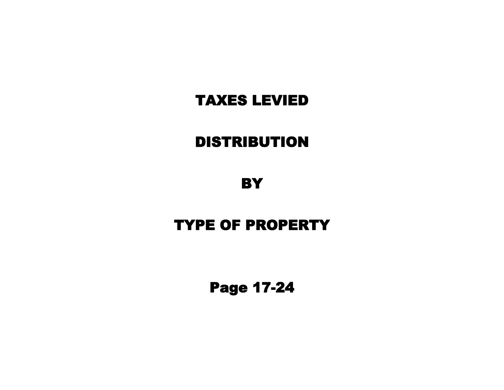# DISTRIBUTION

**BY** 

# TYPE OF PROPERTY

Page 17-24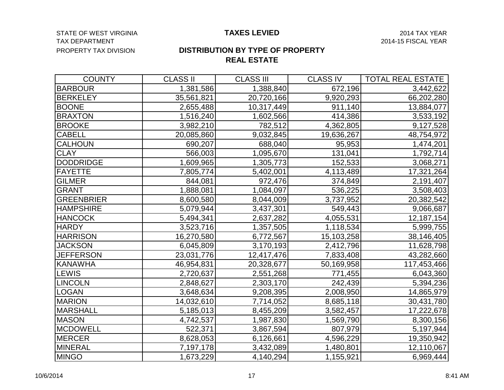#### STATE OF WEST VIRGINIA **Example 2014 TAX CONVERTS CONVERTS AND TAX EXAMPLE 2014 TAX YEAR** TAX DEPARTMENT 2014-15 FISCAL YEAR PROPERTY TAX DIVISION

#### **TAXES LEVIED**

### **REAL ESTATE DISTRIBUTION BY TYPE OF PROPERTY**

| <b>COUNTY</b>     | <b>CLASS II</b> | <b>CLASS III</b> | <b>CLASS IV</b> | <b>TOTAL REAL ESTATE</b> |
|-------------------|-----------------|------------------|-----------------|--------------------------|
| <b>BARBOUR</b>    | 1,381,586       | 1,388,840        | 672,196         | 3,442,622                |
| <b>BERKELEY</b>   | 35,561,821      | 20,720,166       | 9,920,293       | 66,202,280               |
| <b>BOONE</b>      | 2,655,488       | 10,317,449       | 911,140         | 13,884,077               |
| <b>BRAXTON</b>    | 1,516,240       | 1,602,566        | 414,386         | 3,533,192                |
| <b>BROOKE</b>     | 3,982,210       | 782,512          | 4,362,805       | 9,127,528                |
| <b>CABELL</b>     | 20,085,860      | 9,032,845        | 19,636,267      | 48,754,972               |
| <b>CALHOUN</b>    | 690,207         | 688,040          | 95,953          | 1,474,201                |
| <b>CLAY</b>       | 566,003         | 1,095,670        | 131,041         | 1,792,714                |
| <b>DODDRIDGE</b>  | 1,609,965       | 1,305,773        | 152,533         | 3,068,271                |
| <b>FAYETTE</b>    | 7,805,774       | 5,402,001        | 4,113,489       | 17,321,264               |
| <b>GILMER</b>     | 844,081         | 972,476          | 374,849         | 2,191,407                |
| <b>GRANT</b>      | 1,888,081       | 1,084,097        | 536,225         | 3,508,403                |
| <b>GREENBRIER</b> | 8,600,580       | 8,044,009        | 3,737,952       | 20,382,542               |
| <b>HAMPSHIRE</b>  | 5,079,944       | 3,437,301        | 549,443         | 9,066,687                |
| <b>HANCOCK</b>    | 5,494,341       | 2,637,282        | 4,055,531       | 12,187,154               |
| <b>HARDY</b>      | 3,523,716       | 1,357,505        | 1,118,534       | 5,999,755                |
| <b>HARRISON</b>   | 16,270,580      | 6,772,567        | 15,103,258      | 38,146,405               |
| <b>JACKSON</b>    | 6,045,809       | 3,170,193        | 2,412,796       | 11,628,798               |
| <b>JEFFERSON</b>  | 23,031,776      | 12,417,476       | 7,833,408       | 43,282,660               |
| <b>KANAWHA</b>    | 46,954,831      | 20,328,677       | 50,169,958      | 117,453,466              |
| LEWIS             | 2,720,637       | 2,551,268        | 771,455         | 6,043,360                |
| <b>LINCOLN</b>    | 2,848,627       | 2,303,170        | 242,439         | 5,394,236                |
| <b>LOGAN</b>      | 3,648,634       | 9,208,395        | 2,008,950       | 14,865,979               |
| <b>MARION</b>     | 14,032,610      | 7,714,052        | 8,685,118       | 30,431,780               |
| <b>MARSHALL</b>   | 5,185,013       | 8,455,209        | 3,582,457       | 17,222,678               |
| <b>MASON</b>      | 4,742,537       | 1,987,830        | 1,569,790       | 8,300,156                |
| <b>MCDOWELL</b>   | 522,371         | 3,867,594        | 807,979         | 5,197,944                |
| MERCER            | 8,628,053       | 6,126,661        | 4,596,229       | 19,350,942               |
| MINERAL           | 7,197,178       | 3,432,089        | 1,480,801       | 12,110,067               |
| <b>MINGO</b>      | 1,673,229       | 4,140,294        | 1,155,921       | 6,969,444                |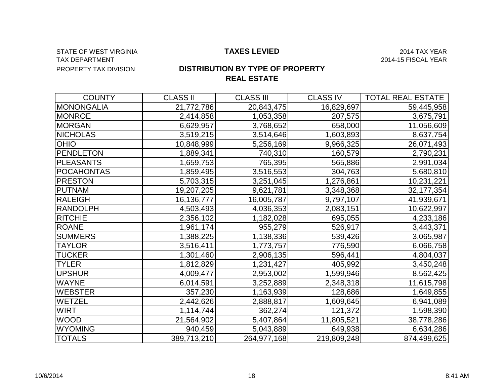#### STATE OF WEST VIRGINIA **Example 2014 TAX ASS CONTROLLED TAXES LEVIED** 2014 TAX YEAR TAX DEPARTMENT 2014-15 FISCAL YEAR PROPERTY TAX DIVISION

#### **TAXES LEVIED**

### **DISTRIBUTION BY TYPE OF PROPERTY REAL ESTATE**

| <b>COUNTY</b>     | <b>CLASS II</b> | <b>CLASS III</b> | <b>CLASS IV</b> | <b>TOTAL REAL ESTATE</b> |
|-------------------|-----------------|------------------|-----------------|--------------------------|
| MONONGALIA        | 21,772,786      | 20,843,475       | 16,829,697      | 59,445,958               |
| <b>MONROE</b>     | 2,414,858       | 1,053,358        | 207,575         | 3,675,791                |
| <b>MORGAN</b>     | 6,629,957       | 3,768,652        | 658,000         | 11,056,609               |
| <b>NICHOLAS</b>   | 3,519,215       | 3,514,646        | 1,603,893       | 8,637,754                |
| <b>OHIO</b>       | 10,848,999      | 5,256,169        | 9,966,325       | 26,071,493               |
| PENDLETON         | 1,889,341       | 740,310          | 160,579         | 2,790,231                |
| <b>PLEASANTS</b>  | 1,659,753       | 765,395          | 565,886         | 2,991,034                |
| <b>POCAHONTAS</b> | 1,859,495       | 3,516,553        | 304,763         | 5,680,810                |
| <b>PRESTON</b>    | 5,703,315       | 3,251,045        | 1,276,861       | 10,231,221               |
| <b>PUTNAM</b>     | 19,207,205      | 9,621,781        | 3,348,368       | 32, 177, 354             |
| RALEIGH           | 16,136,777      | 16,005,787       | 9,797,107       | 41,939,671               |
| RANDOLPH          | 4,503,493       | 4,036,353        | 2,083,151       | 10,622,997               |
| RITCHIE           | 2,356,102       | 1,182,028        | 695,055         | 4,233,186                |
| <b>ROANE</b>      | 1,961,174       | 955,279          | 526,917         | 3,443,371                |
| <b>SUMMERS</b>    | 1,388,225       | 1,138,336        | 539,426         | 3,065,987                |
| <b>TAYLOR</b>     | 3,516,411       | 1,773,757        | 776,590         | 6,066,758                |
| <b>TUCKER</b>     | 1,301,460       | 2,906,135        | 596,441         | 4,804,037                |
| <b>TYLER</b>      | 1,812,829       | 1,231,427        | 405,992         | 3,450,248                |
| <b>UPSHUR</b>     | 4,009,477       | 2,953,002        | 1,599,946       | 8,562,425                |
| <b>WAYNE</b>      | 6,014,591       | 3,252,889        | 2,348,318       | 11,615,798               |
| <b>WEBSTER</b>    | 357,230         | 1,163,939        | 128,686         | 1,649,855                |
| <b>WETZEL</b>     | 2,442,626       | 2,888,817        | 1,609,645       | 6,941,089                |
| <b>WIRT</b>       | 1,114,744       | 362,274          | 121,372         | 1,598,390                |
| <b>WOOD</b>       | 21,564,902      | 5,407,864        | 11,805,521      | 38,778,286               |
| <b>WYOMING</b>    | 940,459         | 5,043,889        | 649,938         | 6,634,286                |
| <b>TOTALS</b>     | 389,713,210     | 264,977,168      | 219,809,248     | 874,499,625              |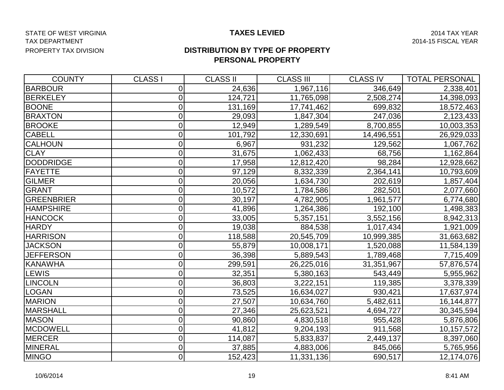#### STATE OF WEST VIRGINIA **Example 2014 TAX ASS SETS ARE STATE ASSESSMENT ASSESSMENT ASSESSMENT AND ASSESSMENT AND MEAN YEAR** TAX DEPARTMENT 2014-15 FISCAL YEAR PROPERTY TAX DIVISION

#### **TAXES LEVIED**

#### **DISTRIBUTION BY TYPE OF PROPERTY PERSONAL PROPERTY**

| <b>COUNTY</b>     | <b>CLASS I</b> | <b>CLASS II</b> | <b>CLASS III</b> | <b>CLASS IV</b> | <b>TOTAL PERSONAL</b> |
|-------------------|----------------|-----------------|------------------|-----------------|-----------------------|
| <b>BARBOUR</b>    | 0              | 24,636          | 1,967,116        | 346,649         | 2,338,401             |
| <b>BERKELEY</b>   | $\overline{0}$ | 124,721         | 11,765,098       | 2,508,274       | 14,398,093            |
| <b>BOONE</b>      | 0              | 131,169         | 17,741,462       | 699,832         | 18,572,463            |
| <b>BRAXTON</b>    | $\overline{0}$ | 29,093          | 1,847,304        | 247,036         | 2,123,433             |
| <b>BROOKE</b>     | 0              | 12,949          | 1,289,549        | 8,700,855       | 10,003,353            |
| <b>CABELL</b>     | $\overline{0}$ | 101,792         | 12,330,691       | 14,496,551      | 26,929,033            |
| <b>CALHOUN</b>    | 0              | 6,967           | 931,232          | 129,562         | 1,067,762             |
| <b>CLAY</b>       | $\overline{0}$ | 31,675          | 1,062,433        | 68,756          | 1,162,864             |
| <b>DODDRIDGE</b>  | $\overline{0}$ | 17,958          | 12,812,420       | 98,284          | 12,928,662            |
| FAYETTE           | 0              | 97,129          | 8,332,339        | 2,364,141       | 10,793,609            |
| <b>GILMER</b>     | 0              | 20,056          | 1,634,730        | 202,619         | 1,857,404             |
| <b>GRANT</b>      | $\overline{0}$ | 10,572          | 1,784,586        | 282,501         | 2,077,660             |
| <b>GREENBRIER</b> | 0              | 30,197          | 4,782,905        | 1,961,577       | 6,774,680             |
| <b>HAMPSHIRE</b>  | 0              | 41,896          | 1,264,386        | 192,100         | 1,498,383             |
| <b>HANCOCK</b>    | 0              | 33,005          | 5,357,151        | 3,552,156       | 8,942,313             |
| <b>HARDY</b>      | $\overline{0}$ | 19,038          | 884,538          | 1,017,434       | 1,921,009             |
| <b>HARRISON</b>   | 0              | 118,588         | 20,545,709       | 10,999,385      | 31,663,682            |
| <b>JACKSON</b>    | 0              | 55,879          | 10,008,171       | 1,520,088       | 11,584,139            |
| <b>JEFFERSON</b>  | 0              | 36,398          | 5,889,543        | 1,789,468       | 7,715,409             |
| <b>KANAWHA</b>    | 0              | 299,591         | 26,225,016       | 31,351,967      | 57,876,574            |
| LEWIS             | $\Omega$       | 32,351          | 5,380,163        | 543,449         | 5,955,962             |
| <b>LINCOLN</b>    | 0              | 36,803          | 3,222,151        | 119,385         | 3,378,339             |
| <b>LOGAN</b>      | 0              | 73,525          | 16,634,027       | 930,421         | 17,637,974            |
| <b>MARION</b>     | $\overline{0}$ | 27,507          | 10,634,760       | 5,482,611       | 16,144,877            |
| MARSHALL          | 0              | 27,346          | 25,623,521       | 4,694,727       | 30,345,594            |
| <b>MASON</b>      | $\overline{0}$ | 90,860          | 4,830,518        | 955,428         | 5,876,806             |
| <b>MCDOWELL</b>   | 0              | 41,812          | 9,204,193        | 911,568         | 10,157,572            |
| MERCER            | 0              | 114,087         | 5,833,837        | 2,449,137       | 8,397,060             |
| <b>MINERAL</b>    | $\overline{0}$ | 37,885          | 4,883,006        | 845,066         | 5,765,956             |
| <b>MINGO</b>      | $\overline{0}$ | 152,423         | 11,331,136       | 690,517         | 12,174,076            |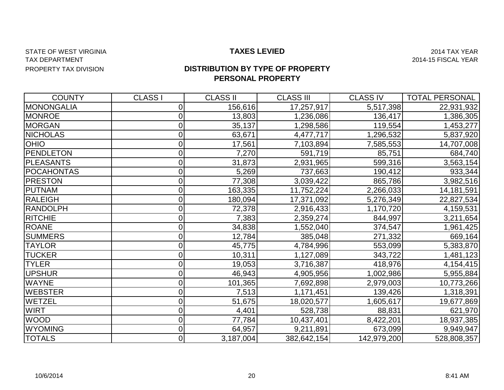#### STATE OF WEST VIRGINIA **Example 2014 TAX ASS SETS ARE STATE OF WEST VIRGINIA** 2014 TAX YEAR TAX DEPARTMENT 2014-15 FISCAL YEAR PROPERTY TAX DIVISION

#### **TAXES LEVIED**

### **DISTRIBUTION BY TYPE OF PROPERTY PERSONAL PROPERTY**

| <b>COUNTY</b>     | <b>CLASS I</b> | <b>CLASS II</b> | <b>CLASS III</b> | <b>CLASS IV</b> | <b>TOTAL PERSONAL</b> |
|-------------------|----------------|-----------------|------------------|-----------------|-----------------------|
| <b>MONONGALIA</b> | 0              | 156,616         | 17,257,917       | 5,517,398       | 22,931,932            |
| <b>MONROE</b>     | 0              | 13,803          | 1,236,086        | 136,417         | 1,386,305             |
| <b>MORGAN</b>     | 0              | 35,137          | 1,298,586        | 119,554         | 1,453,277             |
| <b>NICHOLAS</b>   |                | 63,671          | 4,477,717        | 1,296,532       | 5,837,920             |
| <b>OHIO</b>       |                | 17,561          | 7,103,894        | 7,585,553       | 14,707,008            |
| <b>PENDLETON</b>  | 0              | 7,270           | 591,719          | 85,751          | 684,740               |
| <b>PLEASANTS</b>  | 0              | 31,873          | 2,931,965        | 599,316         | 3,563,154             |
| <b>POCAHONTAS</b> |                | 5,269           | 737,663          | 190,412         | 933,344               |
| <b>PRESTON</b>    |                | 77,308          | 3,039,422        | 865,786         | 3,982,516             |
| <b>PUTNAM</b>     |                | 163,335         | 11,752,224       | 2,266,033       | 14,181,591            |
| <b>RALEIGH</b>    | 0              | 180,094         | 17,371,092       | 5,276,349       | 22,827,534            |
| <b>RANDOLPH</b>   | 0              | 72,378          | 2,916,433        | 1,170,720       | 4,159,531             |
| <b>RITCHIE</b>    | 0              | 7,383           | 2,359,274        | 844,997         | 3,211,654             |
| <b>ROANE</b>      | 0              | 34,838          | 1,552,040        | 374,547         | 1,961,425             |
| <b>SUMMERS</b>    | 0              | 12,784          | 385,048          | 271,332         | 669,164               |
| <b>TAYLOR</b>     | 0              | 45,775          | 4,784,996        | 553,099         | 5,383,870             |
| <b>TUCKER</b>     | 0              | 10,311          | 1,127,089        | 343,722         | 1,481,123             |
| <b>TYLER</b>      |                | 19,053          | 3,716,387        | 418,976         | 4,154,415             |
| <b>UPSHUR</b>     | 0              | 46,943          | 4,905,956        | 1,002,986       | 5,955,884             |
| <b>WAYNE</b>      | 0              | 101,365         | 7,692,898        | 2,979,003       | 10,773,266            |
| <b>WEBSTER</b>    |                | 7,513           | 1,171,451        | 139,426         | 1,318,391             |
| <b>WETZEL</b>     | 0              | 51,675          | 18,020,577       | 1,605,617       | 19,677,869            |
| <b>WIRT</b>       | 0              | 4,401           | 528,738          | 88,831          | 621,970               |
| <b>WOOD</b>       | 0              | 77,784          | 10,437,401       | 8,422,201       | 18,937,385            |
| <b>WYOMING</b>    |                | 64,957          | 9,211,891        | 673,099         | 9,949,947             |
| <b>TOTALS</b>     | 0              | 3,187,004       | 382,642,154      | 142,979,200     | 528,808,357           |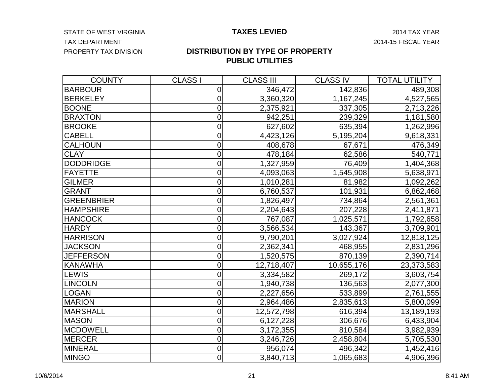STATE OF WEST VIRGINIA **Example 2014 TAXES LEVIED** 2014 TAX YEAR TAX DEPARTMENT 2014-15 FISCAL YEAR PROPERTY TAX DIVISION

#### **DISTRIBUTION BY TYPE OF PROPERTY PUBLIC UTILITIES**

| <b>COUNTY</b>     | <b>CLASS I</b>   | <b>CLASS III</b> | <b>CLASS IV</b> | <b>TOTAL UTILITY</b> |
|-------------------|------------------|------------------|-----------------|----------------------|
| <b>BARBOUR</b>    | 0                | 346,472          | 142,836         | 489,308              |
| <b>BERKELEY</b>   | $\mathbf 0$      | 3,360,320        | 1,167,245       | 4,527,565            |
| <b>BOONE</b>      | $\mathbf 0$      | 2,375,921        | 337,305         | 2,713,226            |
| <b>BRAXTON</b>    | 0                | 942,251          | 239,329         | 1,181,580            |
| <b>BROOKE</b>     | 0                | 627,602          | 635,394         | 1,262,996            |
| <b>CABELL</b>     | $\overline{0}$   | 4,423,126        | 5,195,204       | 9,618,331            |
| <b>CALHOUN</b>    | $\mathbf 0$      | 408,678          | 67,671          | 476,349              |
| <b>CLAY</b>       | $\mathbf 0$      | 478,184          | 62,586          | 540,771              |
| <b>DODDRIDGE</b>  | 0                | 1,327,959        | 76,409          | 1,404,368            |
| <b>FAYETTE</b>    | $\mathbf 0$      | 4,093,063        | 1,545,908       | 5,638,971            |
| <b>GILMER</b>     | $\mathbf 0$      | 1,010,281        | 81,982          | 1,092,262            |
| <b>GRANT</b>      | $\mathbf 0$      | 6,760,537        | 101,931         | 6,862,468            |
| <b>GREENBRIER</b> | $\mathbf 0$      | 1,826,497        | 734,864         | 2,561,361            |
| <b>HAMPSHIRE</b>  | 0                | 2,204,643        | 207,228         | 2,411,871            |
| <b>HANCOCK</b>    | 0                | 767,087          | 1,025,571       | 1,792,658            |
| <b>HARDY</b>      | 0                | 3,566,534        | 143,367         | 3,709,901            |
| <b>HARRISON</b>   | $\mathbf 0$      | 9,790,201        | 3,027,924       | 12,818,125           |
| <b>JACKSON</b>    | $\overline{0}$   | 2,362,341        | 468,955         | 2,831,296            |
| <b>JEFFERSON</b>  | $\overline{0}$   | 1,520,575        | 870,139         | 2,390,714            |
| KANAWHA           | 0                | 12,718,407       | 10,655,176      | 23,373,583           |
| LEWIS             | $\mathbf 0$      | 3,334,582        | 269,172         | 3,603,754            |
| <b>LINCOLN</b>    | 0                | 1,940,738        | 136,563         | 2,077,300            |
| <b>LOGAN</b>      | 0                | 2,227,656        | 533,899         | 2,761,555            |
| <b>MARION</b>     | $\mathbf 0$      | 2,964,486        | 2,835,613       | 5,800,099            |
| <b>MARSHALL</b>   | $\overline{0}$   | 12,572,798       | 616,394         | 13,189,193           |
| <b>MASON</b>      | $\mathbf 0$      | 6,127,228        | 306,676         | 6,433,904            |
| <b>MCDOWELL</b>   | 0                | 3,172,355        | 810,584         | 3,982,939            |
| MERCER            | $\mathbf 0$      | 3,246,726        | 2,458,804       | 5,705,530            |
| MINERAL           | $\boldsymbol{0}$ | 956,074          | 496,342         | 1,452,416            |
| <b>MINGO</b>      | $\mathbf 0$      | 3,840,713        | 1,065,683       | 4,906,396            |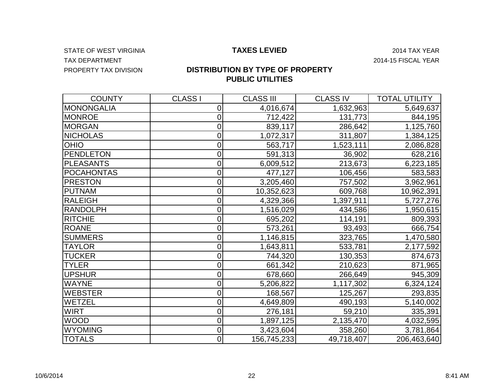STATE OF WEST VIRGINIA **Example 2014 TAXES LEVIED** 2014 TAX YEAR TAX DEPARTMENT TAX OF A SERIES AND THE SERIES OF A SERIES AND THE SERIES OF A SERIES OF A SERIES OF A SERIES OF A SERIES OF A SERIES OF A SERIES OF A SERIES OF A SERIES OF A SERIES OF A SERIES OF A SERIES OF A SERIES OF A PROPERTY TAX DIVISION

### **DISTRIBUTION BY TYPE OF PROPERTY PUBLIC UTILITIES**

| <b>COUNTY</b>     | <b>CLASS I</b>   | <b>CLASS III</b> | <b>CLASS IV</b> | <b>TOTAL UTILITY</b> |
|-------------------|------------------|------------------|-----------------|----------------------|
| MONONGALIA        | $\mathbf 0$      | 4,016,674        | 1,632,963       | 5,649,637            |
| <b>MONROE</b>     | 0                | 712,422          | 131,773         | 844,195              |
| <b>MORGAN</b>     | $\mathbf 0$      | 839,117          | 286,642         | 1,125,760            |
| <b>NICHOLAS</b>   | $\mathbf 0$      | 1,072,317        | 311,807         | 1,384,125            |
| <b>OHIO</b>       | $\mathbf 0$      | 563,717          | 1,523,111       | 2,086,828            |
| <b>PENDLETON</b>  | $\mathbf 0$      | 591,313          | 36,902          | 628,216              |
| <b>PLEASANTS</b>  | 0                | 6,009,512        | 213,673         | 6,223,185            |
| <b>POCAHONTAS</b> | $\mathbf 0$      | 477,127          | 106,456         | 583,583              |
| <b>PRESTON</b>    | $\overline{0}$   | 3,205,460        | 757,502         | 3,962,961            |
| <b>PUTNAM</b>     | 0                | 10,352,623       | 609,768         | 10,962,391           |
| <b>RALEIGH</b>    | 0                | 4,329,366        | 1,397,911       | 5,727,276            |
| <b>RANDOLPH</b>   | $\mathbf 0$      | 1,516,029        | 434,586         | 1,950,615            |
| <b>RITCHIE</b>    | 0                | 695,202          | 114,191         | 809,393              |
| <b>ROANE</b>      | 0                | 573,261          | 93,493          | 666,754              |
| <b>SUMMERS</b>    | $\mathbf 0$      | 1,146,815        | 323,765         | 1,470,580            |
| <b>TAYLOR</b>     | $\overline{0}$   | 1,643,811        | 533,781         | 2,177,592            |
| <b>TUCKER</b>     | 0                | 744,320          | 130,353         | 874,673              |
| <b>TYLER</b>      | 0                | 661,342          | 210,623         | 871,965              |
| <b>UPSHUR</b>     | 0                | 678,660          | 266,649         | 945,309              |
| <b>WAYNE</b>      | $\overline{0}$   | 5,206,822        | 1,117,302       | 6,324,124            |
| <b>WEBSTER</b>    | $\mathbf 0$      | 168,567          | 125,267         | 293,835              |
| WETZEL            | 0                | 4,649,809        | 490,193         | 5,140,002            |
| <b>WIRT</b>       | 0                | 276,181          | 59,210          | 335,391              |
| <b>WOOD</b>       | $\mathbf 0$      | 1,897,125        | 2,135,470       | 4,032,595            |
| <b>WYOMING</b>    | 0                | 3,423,604        | 358,260         | 3,781,864            |
| <b>TOTALS</b>     | $\boldsymbol{0}$ | 156,745,233      | 49,718,407      | 206,463,640          |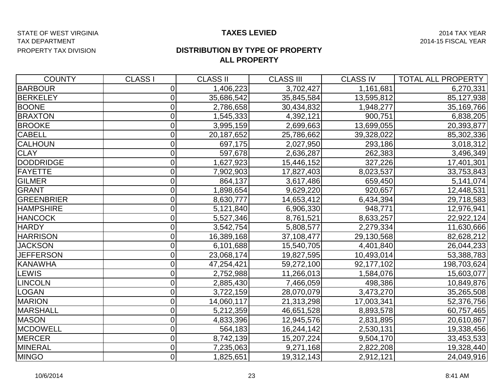#### STATE OF WEST VIRGINIA **Example 2014 TAXES LEVIED TAXES LEVIED** 2014 TAX YEAR TAX DEPARTMENT 2014-15 FISCAL YEAR PROPERTY TAX DIVISION

#### **TAXES LEVIED**

#### **DISTRIBUTION BY TYPE OF PROPERTY ALL PROPERTY**

| <b>COUNTY</b>    | <b>CLASS I</b> | <b>CLASS II</b> | <b>CLASS III</b> | <b>CLASS IV</b> | <b>TOTAL ALL PROPERTY</b> |
|------------------|----------------|-----------------|------------------|-----------------|---------------------------|
| <b>BARBOUR</b>   | 0              | 1,406,223       | 3,702,427        | 1,161,681       | 6,270,331                 |
| <b>BERKELEY</b>  | 0              | 35,686,542      | 35,845,584       | 13,595,812      | 85,127,938                |
| <b>BOONE</b>     | 0              | 2,786,658       | 30,434,832       | 1,948,277       | 35,169,766                |
| <b>BRAXTON</b>   | 0              | 1,545,333       | 4,392,121        | 900,751         | 6,838,205                 |
| <b>BROOKE</b>    | 0              | 3,995,159       | 2,699,663        | 13,699,055      | 20,393,877                |
| <b>CABELL</b>    | 0              | 20,187,652      | 25,786,662       | 39,328,022      | 85,302,336                |
| CALHOUN          | 0              | 697,175         | 2,027,950        | 293,186         | 3,018,312                 |
| <b>CLAY</b>      | 0              | 597,678         | 2,636,287        | 262,383         | 3,496,349                 |
| DODDRIDGE        | 0              | 1,627,923       | 15,446,152       | 327,226         | 17,401,301                |
| FAYETTE          | 0              | 7,902,903       | 17,827,403       | 8,023,537       | 33,753,843                |
| <b>GILMER</b>    | 0              | 864,137         | 3,617,486        | 659,450         | 5,141,074                 |
| GRANT            | 0              | 1,898,654       | 9,629,220        | 920,657         | 12,448,531                |
| GREENBRIER       | 0              | 8,630,777       | 14,653,412       | 6,434,394       | 29,718,583                |
| <b>HAMPSHIRE</b> | 0              | 5,121,840       | 6,906,330        | 948,771         | 12,976,941                |
| <b>HANCOCK</b>   | 0              | 5,527,346       | 8,761,521        | 8,633,257       | 22,922,124                |
| <b>HARDY</b>     | 0              | 3,542,754       | 5,808,577        | 2,279,334       | 11,630,666                |
| <b>HARRISON</b>  | 0              | 16,389,168      | 37,108,477       | 29,130,568      | 82,628,212                |
| <b>JACKSON</b>   | 0              | 6,101,688       | 15,540,705       | 4,401,840       | 26,044,233                |
| <b>JEFFERSON</b> | 0              | 23,068,174      | 19,827,595       | 10,493,014      | 53,388,783                |
| <b>KANAWHA</b>   | 0              | 47,254,421      | 59,272,100       | 92,177,102      | 198,703,624               |
| LEWIS            | 0              | 2,752,988       | 11,266,013       | 1,584,076       | 15,603,077                |
| <b>LINCOLN</b>   | 0              | 2,885,430       | 7,466,059        | 498,386         | 10,849,876                |
| <b>LOGAN</b>     | 0              | 3,722,159       | 28,070,079       | 3,473,270       | 35,265,508                |
| <b>MARION</b>    | 0              | 14,060,117      | 21,313,298       | 17,003,341      | 52,376,756                |
| MARSHALL         | 0              | 5,212,359       | 46,651,528       | 8,893,578       | 60,757,465                |
| <b>MASON</b>     | 0              | 4,833,396       | 12,945,576       | 2,831,895       | 20,610,867                |
| <b>MCDOWELL</b>  | 0              | 564,183         | 16,244,142       | 2,530,131       | 19,338,456                |
| MERCER           | 0              | 8,742,139       | 15,207,224       | 9,504,170       | 33,453,533                |
| MINERAL          | 0              | 7,235,063       | 9,271,168        | 2,822,208       | 19,328,440                |
| <b>MINGO</b>     | 0              | 1,825,651       | 19,312,143       | 2,912,121       | 24,049,916                |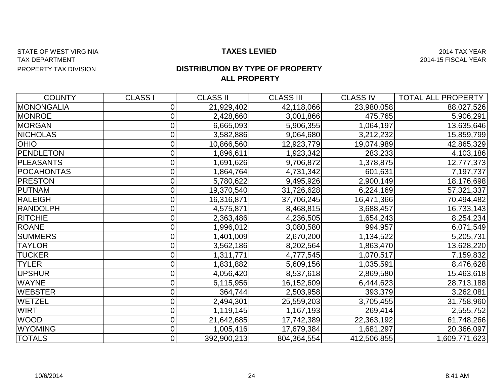#### STATE OF WEST VIRGINIA **Example 2014 TAXES LEVIED TAXES LEVIED** 2014 TAX YEAR TAX DEPARTMENT 2014-15 FISCAL YEAR PROPERTY TAX DIVISION

#### **TAXES LEVIED**

### **ALL PROPERTY DISTRIBUTION BY TYPE OF PROPERTY**

| <b>COUNTY</b>     | <b>CLASS I</b> | <b>CLASS II</b> | <b>CLASS III</b> | <b>CLASS IV</b> | <b>TOTAL ALL PROPERTY</b> |
|-------------------|----------------|-----------------|------------------|-----------------|---------------------------|
| <b>MONONGALIA</b> | $\Omega$       | 21,929,402      | 42,118,066       | 23,980,058      | 88,027,526                |
| <b>MONROE</b>     | 0              | 2,428,660       | 3,001,866        | 475,765         | 5,906,291                 |
| <b>MORGAN</b>     |                | 6,665,093       | 5,906,355        | 1,064,197       | 13,635,646                |
| <b>NICHOLAS</b>   | 0              | 3,582,886       | 9,064,680        | 3,212,232       | 15,859,799                |
| <b>OHIO</b>       |                | 10,866,560      | 12,923,779       | 19,074,989      | 42,865,329                |
| <b>PENDLETON</b>  | 0              | 1,896,611       | 1,923,342        | 283,233         | 4,103,186                 |
| <b>PLEASANTS</b>  |                | 1,691,626       | 9,706,872        | 1,378,875       | 12,777,373                |
| <b>POCAHONTAS</b> | 0              | 1,864,764       | 4,731,342        | 601,631         | 7,197,737                 |
| <b>PRESTON</b>    | 0              | 5,780,622       | 9,495,926        | 2,900,149       | 18,176,698                |
| <b>PUTNAM</b>     | 0              | 19,370,540      | 31,726,628       | 6,224,169       | 57,321,337                |
| <b>RALEIGH</b>    | 0              | 16,316,871      | 37,706,245       | 16,471,366      | 70,494,482                |
| <b>RANDOLPH</b>   | 0              | 4,575,871       | 8,468,815        | 3,688,457       | 16,733,143                |
| <b>RITCHIE</b>    | 0              | 2,363,486       | 4,236,505        | 1,654,243       | 8,254,234                 |
| <b>ROANE</b>      | 0              | 1,996,012       | 3,080,580        | 994,957         | 6,071,549                 |
| <b>SUMMERS</b>    |                | 1,401,009       | 2,670,200        | 1,134,522       | 5,205,731                 |
| <b>TAYLOR</b>     |                | 3,562,186       | 8,202,564        | 1,863,470       | 13,628,220                |
| <b>TUCKER</b>     | 0              | 1,311,771       | 4,777,545        | ,070,517        | 7,159,832                 |
| <b>TYLER</b>      |                | 1,831,882       | 5,609,156        | 1,035,591       | 8,476,628                 |
| <b>UPSHUR</b>     |                | 4,056,420       | 8,537,618        | 2,869,580       | 15,463,618                |
| <b>WAYNE</b>      | 0              | 6,115,956       | 16,152,609       | 6,444,623       | 28,713,188                |
| <b>WEBSTER</b>    |                | 364,744         | 2,503,958        | 393,379         | 3,262,081                 |
| WETZEL            |                | 2,494,301       | 25,559,203       | 3,705,455       | 31,758,960                |
| <b>WIRT</b>       | 0              | 1,119,145       | 1,167,193        | 269,414         | 2,555,752                 |
| <b>WOOD</b>       | $\overline{0}$ | 21,642,685      | 17,742,389       | 22,363,192      | 61,748,266                |
| <b>WYOMING</b>    | $\overline{0}$ | 1,005,416       | 17,679,384       | 1,681,297       | 20,366,097                |
| <b>TOTALS</b>     | 01             | 392,900,213     | 804,364,554      | 412,506,855     | 1,609,771,623             |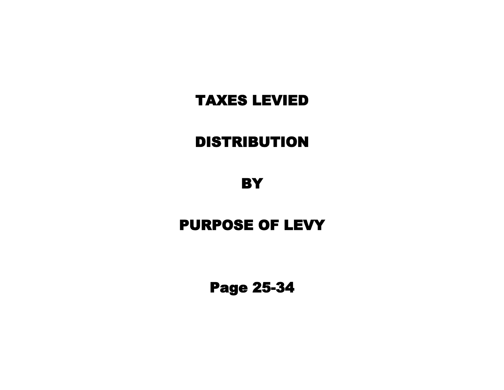# DISTRIBUTION

**BY** 

# PURPOSE OF LEVY

Page 25-34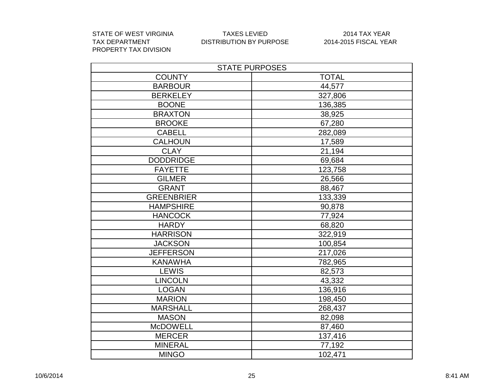STATE OF WEST VIRGINIA TAXES LEVIED 2014 TAX YEAR PROPERTY TAX DIVISION

| <b>STATE PURPOSES</b> |              |  |  |  |
|-----------------------|--------------|--|--|--|
| <b>COUNTY</b>         | <b>TOTAL</b> |  |  |  |
| <b>BARBOUR</b>        | 44,577       |  |  |  |
| <b>BERKELEY</b>       | 327,806      |  |  |  |
| <b>BOONE</b>          | 136,385      |  |  |  |
| <b>BRAXTON</b>        | 38,925       |  |  |  |
| <b>BROOKE</b>         | 67,280       |  |  |  |
| <b>CABELL</b>         | 282,089      |  |  |  |
| <b>CALHOUN</b>        | 17,589       |  |  |  |
| <b>CLAY</b>           | 21,194       |  |  |  |
| <b>DODDRIDGE</b>      | 69,684       |  |  |  |
| <b>FAYETTE</b>        | 123,758      |  |  |  |
| <b>GILMER</b>         | 26,566       |  |  |  |
| <b>GRANT</b>          | 88,467       |  |  |  |
| <b>GREENBRIER</b>     | 133,339      |  |  |  |
| <b>HAMPSHIRE</b>      | 90,878       |  |  |  |
| <b>HANCOCK</b>        | 77,924       |  |  |  |
| <b>HARDY</b>          | 68,820       |  |  |  |
| <b>HARRISON</b>       | 322,919      |  |  |  |
| <b>JACKSON</b>        | 100,854      |  |  |  |
| <b>JEFFERSON</b>      | 217,026      |  |  |  |
| <b>KANAWHA</b>        | 782,965      |  |  |  |
| <b>LEWIS</b>          | 82,573       |  |  |  |
| <b>LINCOLN</b>        | 43,332       |  |  |  |
| <b>LOGAN</b>          | 136,916      |  |  |  |
| <b>MARION</b>         | 198,450      |  |  |  |
| <b>MARSHALL</b>       | 268,437      |  |  |  |
| <b>MASON</b>          | 82,098       |  |  |  |
| <b>McDOWELL</b>       | 87,460       |  |  |  |
| <b>MERCER</b>         | 137,416      |  |  |  |
| <b>MINERAL</b>        | 77,192       |  |  |  |
| <b>MINGO</b>          | 102,471      |  |  |  |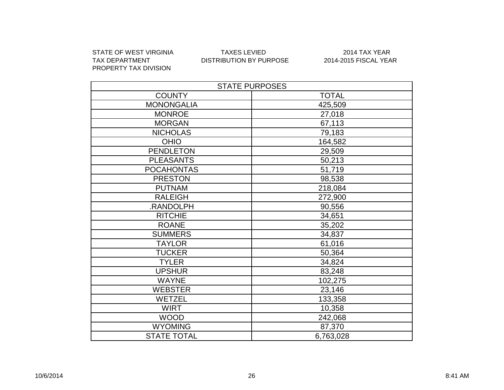PROPERTY TAX DIVISION

#### STATE OF WEST VIRGINIA TAXES LEVIED 2014 TAX YEAR DISTRIBUTION BY PURPOSE

| <b>STATE PURPOSES</b> |              |  |  |  |
|-----------------------|--------------|--|--|--|
| <b>COUNTY</b>         | <b>TOTAL</b> |  |  |  |
| <b>MONONGALIA</b>     | 425,509      |  |  |  |
| <b>MONROE</b>         | 27,018       |  |  |  |
| <b>MORGAN</b>         | 67,113       |  |  |  |
| <b>NICHOLAS</b>       | 79,183       |  |  |  |
| <b>OHIO</b>           | 164,582      |  |  |  |
| <b>PENDLETON</b>      | 29,509       |  |  |  |
| <b>PLEASANTS</b>      | 50,213       |  |  |  |
| <b>POCAHONTAS</b>     | 51,719       |  |  |  |
| <b>PRESTON</b>        | 98,538       |  |  |  |
| <b>PUTNAM</b>         | 218,084      |  |  |  |
| <b>RALEIGH</b>        | 272,900      |  |  |  |
| .RANDOLPH             | 90,556       |  |  |  |
| <b>RITCHIE</b>        | 34,651       |  |  |  |
| <b>ROANE</b>          | 35,202       |  |  |  |
| <b>SUMMERS</b>        | 34,837       |  |  |  |
| <b>TAYLOR</b>         | 61,016       |  |  |  |
| <b>TUCKER</b>         | 50,364       |  |  |  |
| <b>TYLER</b>          | 34,824       |  |  |  |
| <b>UPSHUR</b>         | 83,248       |  |  |  |
| <b>WAYNE</b>          | 102,275      |  |  |  |
| <b>WEBSTER</b>        | 23,146       |  |  |  |
| <b>WETZEL</b>         | 133,358      |  |  |  |
| <b>WIRT</b>           | 10,358       |  |  |  |
| <b>WOOD</b>           | 242,068      |  |  |  |
| <b>WYOMING</b>        | 87,370       |  |  |  |
| <b>STATE TOTAL</b>    | 6,763,028    |  |  |  |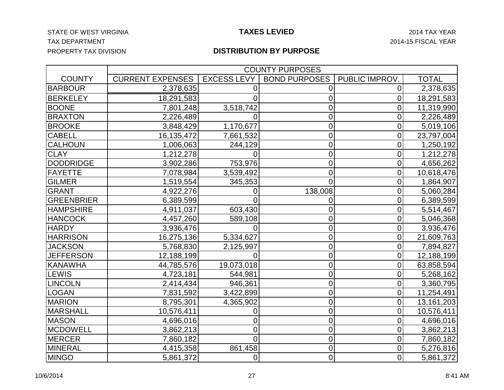#### STATE OF WEST VIRGINIA **Example 2014 TAX ASS CONTROLLED TAXES LEVIED** 2014 TAX YEAR TAX DEPARTMENT 2014-15 FISCAL YEAR PROPERTY TAX DIVISION

#### **TAXES LEVIED**

|                   | <b>COUNTY PURPOSES</b>  |                    |                      |                      |                         |  |
|-------------------|-------------------------|--------------------|----------------------|----------------------|-------------------------|--|
| <b>COUNTY</b>     | <b>CURRENT EXPENSES</b> | <b>EXCESS LEVY</b> | <b>BOND PURPOSES</b> | <b>PUBLIC IMPROV</b> | <b>TOTAL</b>            |  |
| <b>BARBOUR</b>    | 2,378,635               |                    | 0                    | 0                    | 2,378,635               |  |
| <b>BERKELEY</b>   | 18,291,583              |                    | 0                    | 0                    | 18,291,583              |  |
| <b>BOONE</b>      | 7,801,248               | 3,518,742          | 0                    | 0                    | 11,319,990              |  |
| <b>BRAXTON</b>    | 2,226,489               | $\Omega$           | 0                    | 0                    | 2,226,489               |  |
| <b>BROOKE</b>     | 3,848,429               | 1,170,677          | 0                    | 0                    | 5,019,106               |  |
| <b>CABELL</b>     | 16,135,472              | 7,661,532          | $\overline{0}$       | 0                    | 23,797,004              |  |
| <b>CALHOUN</b>    | 1,006,063               | 244,129            | 0                    | 0                    | 1,250,192               |  |
| <b>CLAY</b>       | 1,212,278               | O                  | 0                    | 0                    | 1,212,278               |  |
| <b>DODDRIDGE</b>  | 3,902,286               | 753,976            | 0                    | 0                    | 4,656,262               |  |
| FAYETTE           | 7,078,984               | 3,539,492          | 0                    | 0                    | 10,618,476              |  |
| <b>GILMER</b>     | 1,519,554               | 345,353            | $\overline{0}$       | 0                    | 1,864,907               |  |
| GRANT             | 4,922,276               | 0                  | 138,008              | 0                    | 5,060,284               |  |
| <b>GREENBRIER</b> | 6,389,599               | 0                  | 0                    | 0                    | 6,389,599               |  |
| <b>HAMPSHIRE</b>  | 4,911,037               | 603,430            | 0                    | $\overline{0}$       | 5,514,467               |  |
| <b>HANCOCK</b>    | 4,457,260               | 589,108            | $\overline{0}$       | 0                    | 5,046,368               |  |
| <b>HARDY</b>      | 3,936,476               | 0                  | 0                    | 0                    | 3,936,476               |  |
| <b>HARRISON</b>   | 16,275,136              | 5,334,627          | 0                    | $\overline{0}$       | 21,609,763              |  |
| <b>JACKSON</b>    | 5,768,830               | 2,125,997          | $\overline{0}$       | 0                    | 7,894,827               |  |
| <b>JEFFERSON</b>  | 12,188,199              | 0                  | 0                    | 0                    | 12,188,199              |  |
| KANAWHA           | 44,785,576              | 19,073,018         | 0                    | $\mathbf 0$          | 63,858,594              |  |
| LEWIS             | 4,723,181               | 544,981            | $\overline{0}$       | 0                    | 5,268,162               |  |
| <b>LINCOLN</b>    | 2,414,434               | 946,361            | 0                    | 0                    | 3,360,795               |  |
| LOGAN             | 7,831,592               | 3,422,899          | 0                    | 0                    | 11,254,491              |  |
| <b>MARION</b>     | 8,795,301               | 4,365,902          | $\overline{0}$       | 0                    | 13, 161, 203            |  |
| <b>MARSHALL</b>   | 10,576,411              | 0                  | 0                    | 0                    | $10,576,41\overline{1}$ |  |
| <b>MASON</b>      | 4,696,016               | 0                  | $\overline{0}$       | $\overline{0}$       | 4,696,016               |  |
| <b>MCDOWELL</b>   | 3,862,213               | 0                  | 0                    | 0                    | 3,862,213               |  |
| <b>MERCER</b>     | 7,860,182               | $\overline{0}$     | $\overline{0}$       | 0                    | 7,860,182               |  |
| MINERAL           | 4,415,358               | 861,458            | 0                    | $\overline{0}$       | 5,276,816               |  |
| <b>MINGO</b>      | 5,861,372               | 0                  | $\overline{0}$       | $\overline{0}$       | 5,861,372               |  |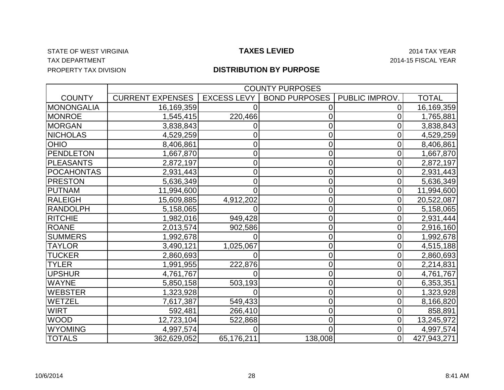#### STATE OF WEST VIRGINIA **Example 2014 TAX ASSESS LEVIED** 2014 TAX YEAR TAX DEPARTMENT 2014-15 FISCAL YEAR PROPERTY TAX DIVISION

|                   | <b>COUNTY PURPOSES</b>  |                    |                      |                |              |  |
|-------------------|-------------------------|--------------------|----------------------|----------------|--------------|--|
| <b>COUNTY</b>     | <b>CURRENT EXPENSES</b> | <b>EXCESS LEVY</b> | <b>BOND PURPOSES</b> | PUBLIC IMPROV. | <b>TOTAL</b> |  |
| <b>MONONGALIA</b> | 16,169,359              |                    |                      |                | 16,169,359   |  |
| <b>MONROE</b>     | 1,545,415               | 220,466            |                      | 0              | 1,765,881    |  |
| <b>MORGAN</b>     | 3,838,843               |                    | 0                    | 0              | 3,838,843    |  |
| <b>NICHOLAS</b>   | 4,529,259               |                    | 0                    | 0              | 4,529,259    |  |
| <b>OHIO</b>       | 8,406,861               | 0                  | 0                    | 0              | 8,406,861    |  |
| <b>PENDLETON</b>  | 1,667,870               | 0                  | 0                    | 0              | 1,667,870    |  |
| <b>PLEASANTS</b>  | 2,872,197               | 0                  | 0                    | 0              | 2,872,197    |  |
| <b>POCAHONTAS</b> | 2,931,443               | 0                  | 0                    | 0              | 2,931,443    |  |
| <b>PRESTON</b>    | 5,636,349               | 0                  | 0                    | 0              | 5,636,349    |  |
| <b>PUTNAM</b>     | 11,994,600              | 0                  | 0                    | 0              | 11,994,600   |  |
| RALEIGH           | 15,609,885              | 4,912,202          | 0                    | 0              | 20,522,087   |  |
| <b>RANDOLPH</b>   | 5,158,065               |                    | 0                    | 0              | 5,158,065    |  |
| <b>RITCHIE</b>    | 1,982,016               | 949,428            | 0                    | 0              | 2,931,444    |  |
| <b>ROANE</b>      | 2,013,574               | 902,586            | 0                    | 0              | 2,916,160    |  |
| <b>SUMMERS</b>    | 1,992,678               |                    | 0                    | 0              | 1,992,678    |  |
| <b>TAYLOR</b>     | 3,490,121               | 1,025,067          | 0                    | 0              | 4,515,188    |  |
| <b>TUCKER</b>     | 2,860,693               |                    | 0                    | 0              | 2,860,693    |  |
| <b>TYLER</b>      | 1,991,955               | 222,876            | 0                    | 0              | 2,214,831    |  |
| <b>UPSHUR</b>     | 4,761,767               |                    | 0                    | 0              | 4,761,767    |  |
| <b>WAYNE</b>      | 5,850,158               | 503,193            | 0                    | 0              | 6,353,351    |  |
| <b>WEBSTER</b>    | 1,323,928               |                    | 0                    | 0              | 1,323,928    |  |
| WETZEL            | 7,617,387               | 549,433            | 0                    | 0              | 8,166,820    |  |
| <b>WIRT</b>       | 592,481                 | 266,410            | 0                    | 0              | 858,891      |  |
| <b>WOOD</b>       | 12,723,104              | 522,868            | 0                    | 0              | 13,245,972   |  |
| <b>WYOMING</b>    | 4,997,574               |                    | $\Omega$             | 0              | 4,997,574    |  |
| <b>TOTALS</b>     | 362,629,052             | 65,176,211         | 138,008              | $\overline{0}$ | 427,943,271  |  |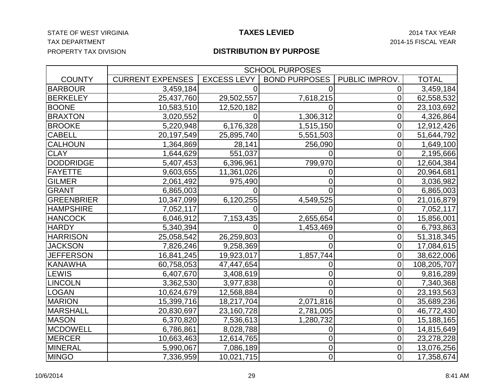#### STATE OF WEST VIRGINIA **Example 2014 TAXES LEVIED** 2014 TAX YEAR TAX DEPARTMENT 2014-15 FISCAL YEAR PROPERTY TAX DIVISION

|                   | <b>SCHOOL PURPOSES</b>  |                    |                      |                |              |  |
|-------------------|-------------------------|--------------------|----------------------|----------------|--------------|--|
| <b>COUNTY</b>     | <b>CURRENT EXPENSES</b> | <b>EXCESS LEVY</b> | <b>BOND PURPOSES</b> | PUBLIC IMPROV  | <b>TOTAL</b> |  |
| <b>BARBOUR</b>    | 3,459,184               |                    | 0                    | 0              | 3,459,184    |  |
| <b>BERKELEY</b>   | 25,437,760              | 29,502,557         | 7,618,215            | 0              | 62,558,532   |  |
| <b>BOONE</b>      | 10,583,510              | 12,520,182         |                      | $\mathbf 0$    | 23,103,692   |  |
| <b>BRAXTON</b>    | 3,020,552               | $\Omega$           | 1,306,312            | $\overline{0}$ | 4,326,864    |  |
| <b>BROOKE</b>     | 5,220,948               | 6,176,328          | 1,515,150            | 0              | 12,912,426   |  |
| <b>CABELL</b>     | 20,197,549              | 25,895,740         | 5,551,503            | $\mathbf 0$    | 51,644,792   |  |
| <b>CALHOUN</b>    | 1,364,869               | 28,141             | 256,090              | $\mathbf 0$    | 1,649,100    |  |
| <b>CLAY</b>       | 1,644,629               | 551,037            | 0                    | 0              | 2,195,666    |  |
| <b>DODDRIDGE</b>  | 5,407,453               | 6,396,961          | 799,970              | $\overline{0}$ | 12,604,384   |  |
| <b>FAYETTE</b>    | 9,603,655               | 11,361,026         | 0                    | $\overline{0}$ | 20,964,681   |  |
| <b>GILMER</b>     | 2,061,492               | 975,490            | 0                    | 0              | 3,036,982    |  |
| <b>GRANT</b>      | 6,865,003               | O                  | 0                    | 0              | 6,865,003    |  |
| <b>GREENBRIER</b> | 10,347,099              | 6,120,255          | 4,549,525            | 0              | 21,016,879   |  |
| <b>HAMPSHIRE</b>  | 7,052,117               |                    | 0                    | 0              | 7,052,117    |  |
| <b>HANCOCK</b>    | 6,046,912               | 7,153,435          | 2,655,654            | $\overline{0}$ | 15,856,001   |  |
| <b>HARDY</b>      | 5,340,394               | 0                  | 1,453,469            | $\overline{0}$ | 6,793,863    |  |
| <b>HARRISON</b>   | 25,058,542              | 26,259,803         | 0                    | 0              | 51,318,345   |  |
| <b>JACKSON</b>    | 7,826,246               | 9,258,369          | $\Omega$             | $\overline{0}$ | 17,084,615   |  |
| <b>JEFFERSON</b>  | 16,841,245              | 19,923,017         | 1,857,744            | $\mathbf 0$    | 38,622,006   |  |
| <b>KANAWHA</b>    | 60,758,053              | 47,447,654         | 0                    | $\mathbf 0$    | 108,205,707  |  |
| <b>LEWIS</b>      | 6,407,670               | 3,408,619          | 0                    | 0              | 9,816,289    |  |
| <b>LINCOLN</b>    | 3,362,530               | 3,977,838          | 0                    | 0              | 7,340,368    |  |
| <b>LOGAN</b>      | 10,624,679              | 12,568,884         | $\Omega$             | $\mathbf 0$    | 23,193,563   |  |
| <b>MARION</b>     | 15,399,716              | 18,217,704         | 2,071,816            | 0              | 35,689,236   |  |
| <b>MARSHALL</b>   | 20,830,697              | 23,160,728         | 2,781,005            | 0              | 46,772,430   |  |
| <b>MASON</b>      | 6,370,820               | 7,536,613          | 1,280,732            | 0              | 15,188,165   |  |
| <b>MCDOWELL</b>   | 6,786,861               | 8,028,788          | 0                    | $\mathbf 0$    | 14,815,649   |  |
| <b>MERCER</b>     | 10,663,463              | 12,614,765         | 0                    | $\overline{0}$ | 23,278,228   |  |
| <b>MINERAL</b>    | 5,990,067               | 7,086,189          | $\overline{0}$       | $\mathbf 0$    | 13,076,256   |  |
| <b>MINGO</b>      | 7,336,959               | 10,021,715         | $\overline{0}$       | $\overline{0}$ | 17,358,674   |  |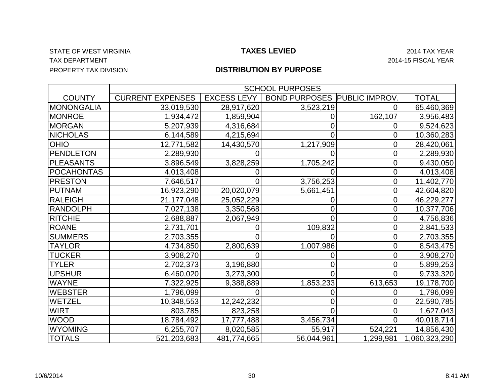#### STATE OF WEST VIRGINIA **Example 2014 TAXES LEVIED** 2014 TAX YEAR TAX DEPARTMENT 2014-15 FISCAL YEAR PROPERTY TAX DIVISION

|                   | <b>SCHOOL PURPOSES</b>  |                    |                      |                      |               |  |
|-------------------|-------------------------|--------------------|----------------------|----------------------|---------------|--|
| <b>COUNTY</b>     | <b>CURRENT EXPENSES</b> | <b>EXCESS LEVY</b> | <b>BOND PURPOSES</b> | <b>PUBLIC IMPROV</b> | <b>TOTAL</b>  |  |
| <b>MONONGALIA</b> | 33,019,530              | 28,917,620         | 3,523,219            |                      | 65,460,369    |  |
| <b>MONROE</b>     | 1,934,472               | 1,859,904          |                      | 162,107              | 3,956,483     |  |
| <b>MORGAN</b>     | 5,207,939               | 4,316,684          |                      |                      | 9,524,623     |  |
| <b>NICHOLAS</b>   | 6,144,589               | 4,215,694          |                      |                      | 10,360,283    |  |
| OHIO              | 12,771,582              | 14,430,570         | 1,217,909            |                      | 28,420,061    |  |
| PENDLETON         | 2,289,930               |                    |                      | 0                    | 2,289,930     |  |
| <b>PLEASANTS</b>  | 3,896,549               | 3,828,259          | 1,705,242            |                      | 9,430,050     |  |
| <b>POCAHONTAS</b> | 4,013,408               |                    |                      |                      | 4,013,408     |  |
| <b>PRESTON</b>    | 7,646,517               |                    | 3,756,253            | 0                    | 11,402,770    |  |
| <b>PUTNAM</b>     | 16,923,290              | 20,020,079         | 5,661,451            | C                    | 42,604,820    |  |
| <b>RALEIGH</b>    | 21, 177, 048            | 25,052,229         |                      | C                    | 46,229,277    |  |
| <b>RANDOLPH</b>   | 7,027,138               | 3,350,568          |                      | C                    | 10,377,706    |  |
| <b>RITCHIE</b>    | 2,688,887               | 2,067,949          |                      | C                    | 4,756,836     |  |
| <b>ROANE</b>      | 2,731,701               |                    | 109,832              |                      | 2,841,533     |  |
| <b>SUMMERS</b>    | 2,703,355               |                    |                      |                      | 2,703,355     |  |
| <b>TAYLOR</b>     | 4,734,850               | 2,800,639          | 1,007,986            | 0                    | 8,543,475     |  |
| <b>TUCKER</b>     | 3,908,270               |                    |                      |                      | 3,908,270     |  |
| <b>TYLER</b>      | 2,702,373               | 3,196,880          |                      |                      | 5,899,253     |  |
| <b>UPSHUR</b>     | 6,460,020               | 3,273,300          |                      | 0                    | 9,733,320     |  |
| <b>WAYNE</b>      | 7,322,925               | 9,388,889          | 1,853,233            | 613,653              | 19,178,700    |  |
| <b>WEBSTER</b>    | 1,796,099               |                    |                      |                      | 1,796,099     |  |
| WETZEL            | 10,348,553              | 12,242,232         |                      |                      | 22,590,785    |  |
| <b>WIRT</b>       | 803,785                 | 823,258            |                      |                      | 1,627,043     |  |
| <b>WOOD</b>       | 18,784,492              | 17,777,488         | 3,456,734            |                      | 40,018,714    |  |
| <b>WYOMING</b>    | 6,255,707               | 8,020,585          | 55,917               | 524,221              | 14,856,430    |  |
| <b>TOTALS</b>     | 521,203,683             | 481,774,665        | 56,044,961           | 1,299,981            | 1,060,323,290 |  |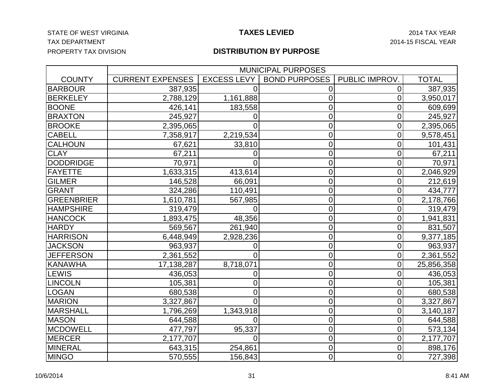#### STATE OF WEST VIRGINIA **Example 2014 TAXES LEVIED** 2014 TAX YEAR TAX DEPARTMENT 2014-15 FISCAL YEAR PROPERTY TAX DIVISION

#### **TAXES LEVIED**

|                   |                         | <b>MUNICIPAL PURPOSES</b> |                      |                |              |  |  |
|-------------------|-------------------------|---------------------------|----------------------|----------------|--------------|--|--|
| <b>COUNTY</b>     | <b>CURRENT EXPENSES</b> | <b>EXCESS LEVY</b>        | <b>BOND PURPOSES</b> | PUBLIC IMPROV. | <b>TOTAL</b> |  |  |
| <b>BARBOUR</b>    | 387,935                 |                           | 0                    | 0              | 387,935      |  |  |
| <b>BERKELEY</b>   | 2,788,129               | 1,161,888                 | 0                    | 0              | 3,950,017    |  |  |
| <b>BOONE</b>      | 426,141                 | 183,558                   | 0                    | $\overline{0}$ | 609,699      |  |  |
| <b>BRAXTON</b>    | 245,927                 | 0                         | $\overline{0}$       | 0              | 245,927      |  |  |
| <b>BROOKE</b>     | 2,395,065               | Ω                         | $\overline{0}$       | 0              | 2,395,065    |  |  |
| <b>CABELL</b>     | 7,358,917               | 2,219,534                 | $\overline{0}$       | $\overline{0}$ | 9,578,451    |  |  |
| <b>CALHOUN</b>    | 67,621                  | 33,810                    | $\overline{0}$       | 0              | 101,431      |  |  |
| <b>CLAY</b>       | 67,211                  | 0                         | $\mathbf 0$          | 0              | 67,211       |  |  |
| <b>DODDRIDGE</b>  | 70,971                  | 0                         | $\mathbf 0$          | $\mathbf 0$    | 70,971       |  |  |
| <b>FAYETTE</b>    | 1,633,315               | 413,614                   | $\mathbf 0$          | 0              | 2,046,929    |  |  |
| <b>GILMER</b>     | 146,528                 | 66,091                    | $\overline{0}$       | $\overline{0}$ | 212,619      |  |  |
| <b>GRANT</b>      | 324,286                 | 110,491                   | $\overline{0}$       | $\overline{0}$ | 434,777      |  |  |
| <b>GREENBRIER</b> | 1,610,781               | 567,985                   | $\overline{0}$       | $\overline{0}$ | 2,178,766    |  |  |
| <b>HAMPSHIRE</b>  | 319,479                 | 0                         | 0                    | 0              | 319,479      |  |  |
| <b>HANCOCK</b>    | 1,893,475               | 48,356                    | 0                    | $\overline{0}$ | 1,941,831    |  |  |
| <b>HARDY</b>      | 569,567                 | 261,940                   | $\mathbf 0$          | 0              | 831,507      |  |  |
| <b>HARRISON</b>   | 6,448,949               | 2,928,236                 | $\mathbf 0$          | $\mathbf 0$    | 9,377,185    |  |  |
| <b>JACKSON</b>    | 963,937                 | 0                         | $\overline{0}$       | $\overline{0}$ | 963,937      |  |  |
| <b>JEFFERSON</b>  | 2,361,552               | $\overline{0}$            | $\mathbf 0$          | 0              | 2,361,552    |  |  |
| <b>KANAWHA</b>    | 17,138,287              | 8,718,071                 | $\overline{0}$       | $\mathbf 0$    | 25,856,358   |  |  |
| LEWIS             | 436,053                 | 0                         | $\overline{0}$       | $\overline{0}$ | 436,053      |  |  |
| <b>LINCOLN</b>    | 105,381                 | 0                         | $\overline{0}$       | $\overline{0}$ | 105,381      |  |  |
| <b>LOGAN</b>      | 680,538                 | 0                         | $\overline{0}$       | $\overline{0}$ | 680,538      |  |  |
| <b>MARION</b>     | 3,327,867               | $\overline{0}$            | $\overline{0}$       | $\mathbf 0$    | 3,327,867    |  |  |
| <b>MARSHALL</b>   | 1,796,269               | 1,343,918                 | 0                    | 0              | 3,140,187    |  |  |
| <b>MASON</b>      | 644,588                 | 0                         | $\mathbf 0$          | $\overline{0}$ | 644,588      |  |  |
| <b>MCDOWELL</b>   | 477,797                 | 95,337                    | $\overline{0}$       | 0              | 573,134      |  |  |
| <b>MERCER</b>     | 2,177,707               | 0                         | $\overline{0}$       | $\overline{0}$ | 2,177,707    |  |  |
| <b>MINERAL</b>    | 643,315                 | 254,861                   | $\overline{0}$       | $\mathbf 0$    | 898,176      |  |  |
| <b>MINGO</b>      | 570,555                 | 156,843                   | 0                    | $\overline{0}$ | 727,398      |  |  |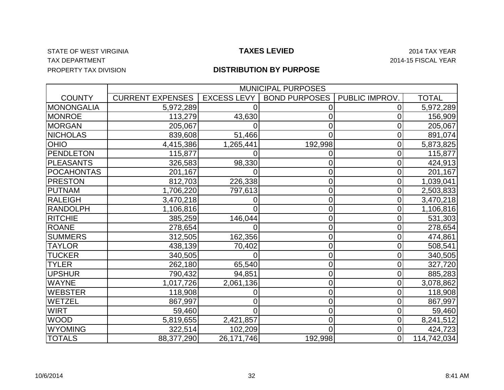#### STATE OF WEST VIRGINIA **Example 2014 TAX ASSESS LEVIED** 2014 TAX YEAR TAX DEPARTMENT 2014-15 FISCAL YEAR PROPERTY TAX DIVISION

|                   |                         | <b>MUNICIPAL PURPOSES</b> |                      |                |              |  |  |  |  |  |
|-------------------|-------------------------|---------------------------|----------------------|----------------|--------------|--|--|--|--|--|
| <b>COUNTY</b>     | <b>CURRENT EXPENSES</b> | <b>EXCESS LEVY</b>        | <b>BOND PURPOSES</b> | PUBLIC IMPROV. | <b>TOTAL</b> |  |  |  |  |  |
| <b>MONONGALIA</b> | 5,972,289               |                           |                      |                | 5,972,289    |  |  |  |  |  |
| <b>MONROE</b>     | 113,279                 | 43,630                    | 0                    | Ω              | 156,909      |  |  |  |  |  |
| <b>MORGAN</b>     | 205,067                 |                           | 0                    | 0              | 205,067      |  |  |  |  |  |
| <b>NICHOLAS</b>   | 839,608                 | 51,466                    | 0                    | 0              | 891,074      |  |  |  |  |  |
| <b>OHIO</b>       | 4,415,386               | 1,265,441                 | 192,998              | 0              | 5,873,825    |  |  |  |  |  |
| <b>PENDLETON</b>  | 115,877                 |                           | 0                    | 0              | 115,877      |  |  |  |  |  |
| <b>PLEASANTS</b>  | 326,583                 | 98,330                    | 0                    | 0              | 424,913      |  |  |  |  |  |
| <b>POCAHONTAS</b> | 201,167                 |                           | 0                    | 0              | 201,167      |  |  |  |  |  |
| <b>PRESTON</b>    | 812,703                 | 226,338                   | 0                    | 0              | 1,039,041    |  |  |  |  |  |
| <b>PUTNAM</b>     | 1,706,220               | 797,613                   | 0                    | 0              | 2,503,833    |  |  |  |  |  |
| RALEIGH           | 3,470,218               |                           | 0                    | 0              | 3,470,218    |  |  |  |  |  |
| <b>RANDOLPH</b>   | 1,106,816               |                           | 0                    | 0              | 1,106,816    |  |  |  |  |  |
| <b>RITCHIE</b>    | 385,259                 | 146,044                   | 0                    | 0              | 531,303      |  |  |  |  |  |
| <b>ROANE</b>      | 278,654                 |                           | 0                    | 0              | 278,654      |  |  |  |  |  |
| <b>SUMMERS</b>    | 312,505                 | 162,356                   | 0                    | 0              | 474,861      |  |  |  |  |  |
| <b>TAYLOR</b>     | 438,139                 | 70,402                    | 0                    | 0              | 508,541      |  |  |  |  |  |
| <b>TUCKER</b>     | 340,505                 |                           | 0                    | 0              | 340,505      |  |  |  |  |  |
| <b>TYLER</b>      | 262,180                 | 65,540                    | 0                    | 0              | 327,720      |  |  |  |  |  |
| <b>UPSHUR</b>     | 790,432                 | 94,851                    | $\overline{0}$       | 0              | 885,283      |  |  |  |  |  |
| <b>WAYNE</b>      | 1,017,726               | 2,061,136                 | 0                    | 0              | 3,078,862    |  |  |  |  |  |
| <b>WEBSTER</b>    | 118,908                 | 0                         | 0                    | 0              | 118,908      |  |  |  |  |  |
| WETZEL            | 867,997                 |                           | $\overline{0}$       | 0              | 867,997      |  |  |  |  |  |
| <b>WIRT</b>       | 59,460                  |                           | 0                    | 0              | 59,460       |  |  |  |  |  |
| <b>WOOD</b>       | 5,819,655               | 2,421,857                 | 0                    | 0              | 8,241,512    |  |  |  |  |  |
| <b>WYOMING</b>    | 322,514                 | 102,209                   | 0                    | 0              | 424,723      |  |  |  |  |  |
| <b>TOTALS</b>     | 88,377,290              | 26, 171, 746              | 192,998              | $\overline{0}$ | 114,742,034  |  |  |  |  |  |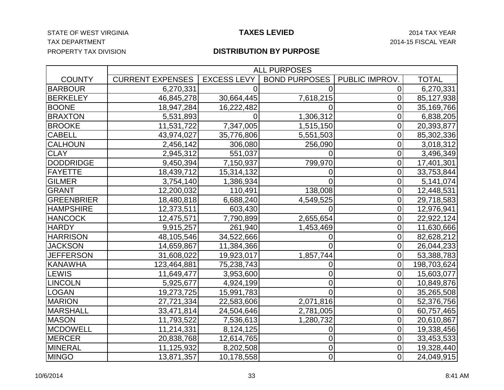#### STATE OF WEST VIRGINIA **Example 2014 TAXES LEVIED** 2014 TAX YEAR TAX DEPARTMENT 2014-15 FISCAL YEAR PROPERTY TAX DIVISION

#### **TAXES LEVIED**

|                   |                         |                    | <b>ALL PURPOSES</b>  |                |              |
|-------------------|-------------------------|--------------------|----------------------|----------------|--------------|
| <b>COUNTY</b>     | <b>CURRENT EXPENSES</b> | <b>EXCESS LEVY</b> | <b>BOND PURPOSES</b> | PUBLIC IMPROV. | <b>TOTAL</b> |
| <b>BARBOUR</b>    | 6,270,331               |                    |                      | 0              | 6,270,331    |
| <b>BERKELEY</b>   | 46,845,278              | 30,664,445         | 7,618,215            | 0              | 85,127,938   |
| <b>BOONE</b>      | 18,947,284              | 16,222,482         |                      | 0              | 35,169,766   |
| <b>BRAXTON</b>    | 5,531,893               | 0                  | 1,306,312            | 0              | 6,838,205    |
| <b>BROOKE</b>     | 11,531,722              | 7,347,005          | 1,515,150            | 0              | 20,393,877   |
| <b>CABELL</b>     | 43,974,027              | 35,776,806         | 5,551,503            | 0              | 85,302,336   |
| <b>CALHOUN</b>    | 2,456,142               | 306,080            | 256,090              | 0              | 3,018,312    |
| <b>CLAY</b>       | 2,945,312               | 551,037            |                      | 0              | 3,496,349    |
| <b>DODDRIDGE</b>  | 9,450,394               | 7,150,937          | 799,970              | 0              | 17,401,301   |
| <b>FAYETTE</b>    | 18,439,712              | 15,314,132         | 0                    | 0              | 33,753,844   |
| <b>GILMER</b>     | 3,754,140               | 1,386,934          | 0                    | 0              | 5,141,074    |
| <b>GRANT</b>      | 12,200,032              | 110,491            | 138,008              | 0              | 12,448,531   |
| <b>GREENBRIER</b> | 18,480,818              | 6,688,240          | 4,549,525            | 0              | 29,718,583   |
| <b>HAMPSHIRE</b>  | 12,373,511              | 603,430            |                      | 0              | 12,976,941   |
| <b>HANCOCK</b>    | 12,475,571              | 7,790,899          | 2,655,654            | 0              | 22,922,124   |
| <b>HARDY</b>      | 9,915,257               | 261,940            | 1,453,469            | 0              | 11,630,666   |
| <b>HARRISON</b>   | 48,105,546              | 34,522,666         | 0                    | 0              | 82,628,212   |
| <b>JACKSON</b>    | 14,659,867              | 11,384,366         | $\Omega$             | 0              | 26,044,233   |
| <b>JEFFERSON</b>  | 31,608,022              | 19,923,017         | 1,857,744            | 0              | 53,388,783   |
| <b>KANAWHA</b>    | 123,464,881             | 75,238,743         | 0                    | 0              | 198,703,624  |
| <b>LEWIS</b>      | 11,649,477              | 3,953,600          | 0                    | 0              | 15,603,077   |
| <b>LINCOLN</b>    | 5,925,677               | 4,924,199          | 0                    | 0              | 10,849,876   |
| <b>LOGAN</b>      | 19,273,725              | 15,991,783         | 0                    | 0              | 35,265,508   |
| <b>MARION</b>     | 27,721,334              | 22,583,606         | 2,071,816            | 0              | 52,376,756   |
| <b>MARSHALL</b>   | 33,471,814              | 24,504,646         | 2,781,005            | 0              | 60,757,465   |
| <b>MASON</b>      | 11,793,522              | 7,536,613          | 1,280,732            | 0              | 20,610,867   |
| <b>MCDOWELL</b>   | 11,214,331              | 8,124,125          | 0                    | 0              | 19,338,456   |
| <b>MERCER</b>     | 20,838,768              | 12,614,765         | 0                    | 0              | 33,453,533   |
| <b>MINERAL</b>    | 11,125,932              | 8,202,508          | 0                    | 0              | 19,328,440   |
| <b>MINGO</b>      | 13,871,357              | 10,178,558         | $\overline{0}$       | $\overline{0}$ | 24,049,915   |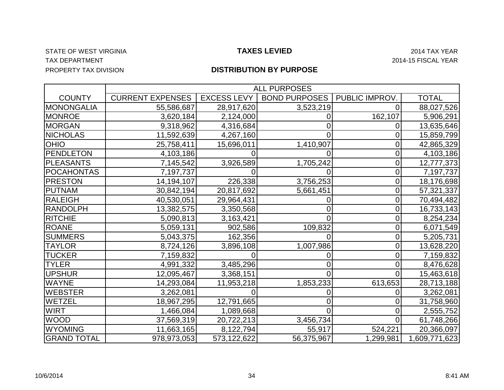#### STATE OF WEST VIRGINIA **Example 2014 TAX ASS CONTROLLED TAXES LEVIED** 2014 TAX YEAR TAX DEPARTMENT 2014-15 FISCAL YEAR PROPERTY TAX DIVISION

|                    |                         | <b>ALL PURPOSES</b> |                      |                |               |  |  |  |  |  |
|--------------------|-------------------------|---------------------|----------------------|----------------|---------------|--|--|--|--|--|
| <b>COUNTY</b>      | <b>CURRENT EXPENSES</b> | <b>EXCESS LEVY</b>  | <b>BOND PURPOSES</b> | PUBLIC IMPROV. | <b>TOTAL</b>  |  |  |  |  |  |
| <b>MONONGALIA</b>  | 55,586,687              | 28,917,620          | 3,523,219            | 0              | 88,027,526    |  |  |  |  |  |
| MONROE             | 3,620,184               | 2,124,000           |                      | 162,107        | 5,906,291     |  |  |  |  |  |
| <b>MORGAN</b>      | 9,318,962               | 4,316,684           |                      | 0              | 13,635,646    |  |  |  |  |  |
| <b>NICHOLAS</b>    | 11,592,639              | 4,267,160           |                      | 0              | 15,859,799    |  |  |  |  |  |
| <b>OHIO</b>        | 25,758,411              | 15,696,011          | 1,410,907            | 0              | 42,865,329    |  |  |  |  |  |
| <b>PENDLETON</b>   | 4,103,186               |                     |                      | 0              | 4,103,186     |  |  |  |  |  |
| <b>PLEASANTS</b>   | 7,145,542               | 3,926,589           | 1,705,242            | 0              | 12,777,373    |  |  |  |  |  |
| <b>POCAHONTAS</b>  | 7,197,737               |                     |                      | 0              | 7,197,737     |  |  |  |  |  |
| <b>PRESTON</b>     | 14,194,107              | 226,338             | 3,756,253            | $\overline{0}$ | 18,176,698    |  |  |  |  |  |
| <b>PUTNAM</b>      | 30,842,194              | 20,817,692          | 5,661,451            | 0              | 57,321,337    |  |  |  |  |  |
| <b>RALEIGH</b>     | 40,530,051              | 29,964,431          |                      | 0              | 70,494,482    |  |  |  |  |  |
| <b>RANDOLPH</b>    | 13,382,575              | 3,350,568           |                      | 0              | 16,733,143    |  |  |  |  |  |
| <b>RITCHIE</b>     | 5,090,813               | 3,163,421           |                      | 0              | 8,254,234     |  |  |  |  |  |
| <b>ROANE</b>       | 5,059,131               | 902,586             | 109,832              | 0              | 6,071,549     |  |  |  |  |  |
| <b>SUMMERS</b>     | 5,043,375               | 162,356             |                      | 0              | 5,205,731     |  |  |  |  |  |
| <b>TAYLOR</b>      | 8,724,126               | 3,896,108           | 1,007,986            | 0              | 13,628,220    |  |  |  |  |  |
| <b>TUCKER</b>      | 7,159,832               |                     |                      | 0              | 7,159,832     |  |  |  |  |  |
| <b>TYLER</b>       | 4,991,332               | 3,485,296           |                      | 0              | 8,476,628     |  |  |  |  |  |
| <b>UPSHUR</b>      | 12,095,467              | 3,368,151           |                      | 0              | 15,463,618    |  |  |  |  |  |
| <b>WAYNE</b>       | 14,293,084              | 11,953,218          | 1,853,233            | 613,653        | 28,713,188    |  |  |  |  |  |
| <b>WEBSTER</b>     | 3,262,081               |                     |                      | 0              | 3,262,081     |  |  |  |  |  |
| WETZEL             | 18,967,295              | 12,791,665          |                      | 0              | 31,758,960    |  |  |  |  |  |
| <b>WIRT</b>        | 1,466,084               | 1,089,668           |                      | 0              | 2,555,752     |  |  |  |  |  |
| <b>WOOD</b>        | 37,569,319              | 20,722,213          | 3,456,734            |                | 61,748,266    |  |  |  |  |  |
| <b>WYOMING</b>     | 11,663,165              | 8,122,794           | 55,917               | 524,221        | 20,366,097    |  |  |  |  |  |
| <b>GRAND TOTAL</b> | 978,973,053             | 573,122,622         | 56,375,967           | 1,299,981      | 1,609,771,623 |  |  |  |  |  |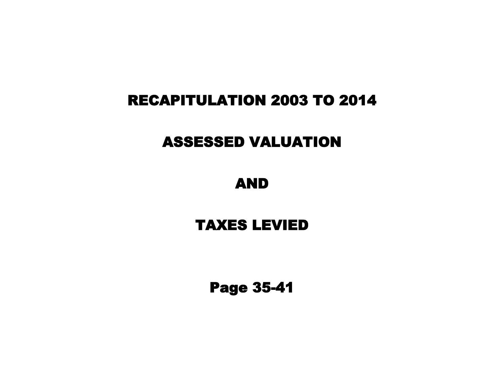# RECAPITULATION 2003 TO 2014

# ASSESSED VALUATION

# AND

# TAXES LEVIED

Page 35-41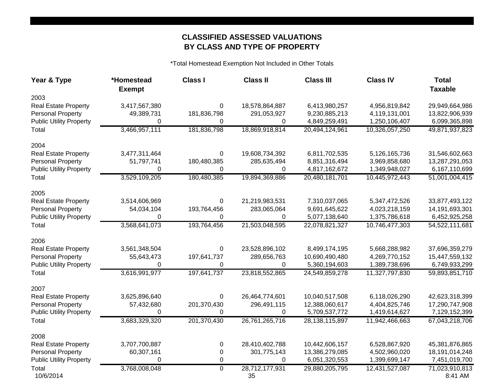### **CLASSIFIED ASSESSED VALUATIONS BY CLASS AND TYPE OF PROPERTY**

\*Total Homestead Exemption Not Included in Other Totals

| Year & Type                    | *Homestead<br><b>Exempt</b> | <b>Class I</b> | <b>Class II</b>      | <b>Class III</b>  | <b>Class IV</b> | <b>Total</b><br><b>Taxable</b> |
|--------------------------------|-----------------------------|----------------|----------------------|-------------------|-----------------|--------------------------------|
| 2003                           |                             |                |                      |                   |                 |                                |
| <b>Real Estate Property</b>    | 3,417,567,380               | 0              | 18,578,864,887       | 6,413,980,257     | 4,956,819,842   | 29,949,664,986                 |
| <b>Personal Property</b>       | 49,389,731                  | 181,836,798    | 291,053,927          | 9,230,885,213     | 4,119,131,001   | 13,822,906,939                 |
| <b>Public Utility Property</b> | 0                           | 0              | 0                    | 4,849,259,491     | 1,250,106,407   | 6,099,365,898                  |
| Total                          | 3,466,957,111               | 181,836,798    | 18,869,918,814       | 20,494,124,961    | 10,326,057,250  | 49,871,937,823                 |
| 2004                           |                             |                |                      |                   |                 |                                |
| <b>Real Estate Property</b>    | 3,477,311,464               | 0              | 19,608,734,392       | 6,811,702,535     | 5,126,165,736   | 31,546,602,663                 |
| <b>Personal Property</b>       | 51,797,741                  | 180,480,385    | 285,635,494          | 8,851,316,494     | 3,969,858,680   | 13,287,291,053                 |
| <b>Public Utility Property</b> | 0                           | 0              | 0                    | 4,817,162,672     | 1,349,948,027   | 6,167,110,699                  |
| Total                          | 3,529,109,205               | 180,480,385    | 19,894,369,886       | 20,480,181,701    | 10,445,972,443  | 51,001,004,415                 |
| 2005                           |                             |                |                      |                   |                 |                                |
| <b>Real Estate Property</b>    | 3,514,606,969               | 0              | 21,219,983,531       | 7,310,037,065     | 5,347,472,526   | 33,877,493,122                 |
| <b>Personal Property</b>       | 54,034,104                  | 193,764,456    | 283,065,064          | 9,691,645,622     | 4,023,218,159   | 14,191,693,301                 |
| <b>Public Utility Property</b> | $\Omega$                    | 0              | 0                    | 5,077,138,640     | 1,375,786,618   | 6,452,925,258                  |
| Total                          | 3,568,641,073               | 193,764,456    | 21,503,048,595       | 22,078,821,327    | 10,746,477,303  | 54,522,111,681                 |
| 2006                           |                             |                |                      |                   |                 |                                |
| <b>Real Estate Property</b>    | 3,561,348,504               | 0              | 23,528,896,102       | 8,499,174,195     | 5,668,288,982   | 37,696,359,279                 |
| <b>Personal Property</b>       | 55,643,473                  | 197,641,737    | 289,656,763          | 10,690,490,480    | 4,269,770,152   | 15,447,559,132                 |
| <b>Public Utility Property</b> | $\Omega$                    | $\Omega$       | 0                    | 5,360,194,603     | 1,389,738,696   | 6,749,933,299                  |
| Total                          | 3,616,991,977               | 197,641,737    | 23,818,552,865       | 24,549,859,278    | 11,327,797,830  | 59,893,851,710                 |
| 2007                           |                             |                |                      |                   |                 |                                |
| <b>Real Estate Property</b>    | 3,625,896,640               | 0              | 26,464,774,601       | 10,040,517,508    | 6,118,026,290   | 42,623,318,399                 |
| <b>Personal Property</b>       | 57,432,680                  | 201,370,430    | 296,491,115          | 12,388,060,617    | 4,404,825,746   | 17,290,747,908                 |
| <b>Public Utility Property</b> | 0                           | 0              | 0                    | 5,709,537,772     | 1,419,614,627   | 7,129,152,399                  |
| Total                          | 3,683,329,320               | 201,370,430    | 26,761,265,716       | 28, 138, 115, 897 | 11,942,466,663  | 67,043,218,706                 |
| 2008                           |                             |                |                      |                   |                 |                                |
| <b>Real Estate Property</b>    | 3,707,700,887               | 0              | 28,410,402,788       | 10,442,606,157    | 6,528,867,920   | 45,381,876,865                 |
| <b>Personal Property</b>       | 60,307,161                  | 0              | 301,775,143          | 13,386,279,085    | 4,502,960,020   | 18,191,014,248                 |
| <b>Public Utility Property</b> | $\Omega$                    | $\mathbf 0$    | 0                    | 6,051,320,553     | 1,399,699,147   | 7,451,019,700                  |
| Total<br>10/6/2014             | 3,768,008,048               | $\mathbf 0$    | 28,712,177,931<br>35 | 29,880,205,795    | 12,431,527,087  | 71,023,910,813<br>8:41 AM      |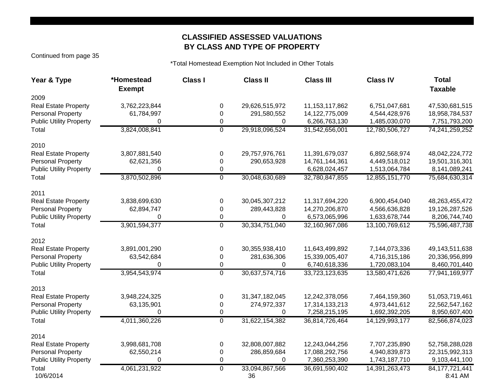### **CLASSIFIED ASSESSED VALUATIONS BY CLASS AND TYPE OF PROPERTY**

Continued from page 35

\*Total Homestead Exemption Not Included in Other Totals

| Year & Type                    | *Homestead<br><b>Exempt</b> | <b>Class I</b> | <b>Class II</b>      | <b>Class III</b>  | <b>Class IV</b> | <b>Total</b><br><b>Taxable</b> |
|--------------------------------|-----------------------------|----------------|----------------------|-------------------|-----------------|--------------------------------|
| 2009                           |                             |                |                      |                   |                 |                                |
| <b>Real Estate Property</b>    | 3,762,223,844               | 0              | 29,626,515,972       | 11, 153, 117, 862 | 6,751,047,681   | 47,530,681,515                 |
| <b>Personal Property</b>       | 61,784,997                  | 0              | 291,580,552          | 14,122,775,009    | 4,544,428,976   | 18,958,784,537                 |
| <b>Public Utility Property</b> | 0                           | 0              | 0                    | 6,266,763,130     | 1,485,030,070   | 7,751,793,200                  |
| Total                          | 3,824,008,841               | $\overline{0}$ | 29,918,096,524       | 31,542,656,001    | 12,780,506,727  | 74,241,259,252                 |
| 2010                           |                             |                |                      |                   |                 |                                |
| <b>Real Estate Property</b>    | 3,807,881,540               | 0              | 29,757,976,761       | 11,391,679,037    | 6,892,568,974   | 48,042,224,772                 |
| <b>Personal Property</b>       | 62,621,356                  | $\mathbf 0$    | 290,653,928          | 14,761,144,361    | 4,449,518,012   | 19,501,316,301                 |
| <b>Public Utility Property</b> | 0                           | 0              |                      | 6,628,024,457     | 1,513,064,784   | 8,141,089,241                  |
| Total                          | 3,870,502,896               | $\overline{0}$ | 30,048,630,689       | 32,780,847,855    | 12,855,151,770  | 75,684,630,314                 |
| 2011                           |                             |                |                      |                   |                 |                                |
| <b>Real Estate Property</b>    | 3,838,699,630               | 0              | 30,045,307,212       | 11,317,694,220    | 6,900,454,040   | 48,263,455,472                 |
| <b>Personal Property</b>       | 62,894,747                  | 0              | 289,443,828          | 14,270,206,870    | 4,566,636,828   | 19,126,287,526                 |
| <b>Public Utility Property</b> | 0                           | 0              | 0                    | 6,573,065,996     | 1,633,678,744   | 8,206,744,740                  |
| Total                          | 3,901,594,377               | $\overline{0}$ | 30, 334, 751, 040    | 32,160,967,086    | 13,100,769,612  | 75,596,487,738                 |
| 2012                           |                             |                |                      |                   |                 |                                |
| <b>Real Estate Property</b>    | 3,891,001,290               | 0              | 30,355,938,410       | 11,643,499,892    | 7,144,073,336   | 49,143,511,638                 |
| <b>Personal Property</b>       | 63,542,684                  | 0              | 281,636,306          | 15,339,005,407    | 4,716,315,186   | 20,336,956,899                 |
| <b>Public Utility Property</b> | $\Omega$                    | 0              | 0                    | 6,740,618,336     | 1,720,083,104   | 8,460,701,440                  |
| Total                          | 3,954,543,974               | $\overline{0}$ | 30,637,574,716       | 33,723,123,635    | 13,580,471,626  | 77,941,169,977                 |
| 2013                           |                             |                |                      |                   |                 |                                |
| <b>Real Estate Property</b>    | 3,948,224,325               | 0              | 31,347,182,045       | 12,242,378,056    | 7,464,159,360   | 51,053,719,461                 |
| <b>Personal Property</b>       | 63,135,901                  | 0              | 274,972,337          | 17,314,133,213    | 4,973,441,612   | 22,562,547,162                 |
| <b>Public Utility Property</b> | $\Omega$                    | 0              | 0                    | 7,258,215,195     | 1,692,392,205   | 8,950,607,400                  |
| Total                          | 4,011,360,226               | $\overline{0}$ | 31,622,154,382       | 36,814,726,464    | 14,129,993,177  | 82,566,874,023                 |
| 2014                           |                             |                |                      |                   |                 |                                |
| <b>Real Estate Property</b>    | 3,998,681,708               | 0              | 32,808,007,882       | 12,243,044,256    | 7,707,235,890   | 52,758,288,028                 |
| <b>Personal Property</b>       | 62,550,214                  | 0              | 286,859,684          | 17,088,292,756    | 4,940,839,873   | 22,315,992,313                 |
| <b>Public Utility Property</b> | 0                           | 0              | 0                    | 7,360,253,390     | 1,743,187,710   | 9,103,441,100                  |
| Total<br>10/6/2014             | 4,061,231,922               | $\mathbf 0$    | 33,094,867,566<br>36 | 36,691,590,402    | 14,391,263,473  | 84, 177, 721, 441<br>8:41 AM   |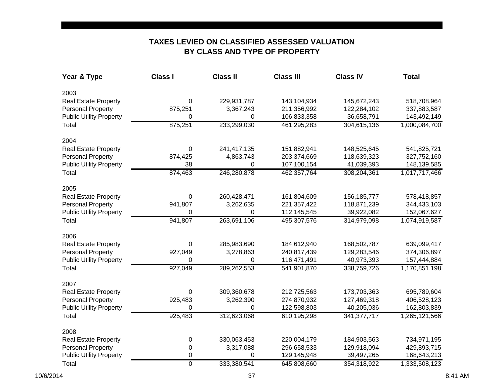### **BY CLASS AND TYPE OF PROPERTY TAXES LEVIED ON CLASSIFIED ASSESSED VALUATION**

| Year & Type                    | <b>Class I</b> | <b>Class II</b> | <b>Class III</b> | <b>Class IV</b> | <b>Total</b>  |
|--------------------------------|----------------|-----------------|------------------|-----------------|---------------|
| 2003                           |                |                 |                  |                 |               |
| Real Estate Property           | 0              | 229,931,787     | 143,104,934      | 145,672,243     | 518,708,964   |
| <b>Personal Property</b>       | 875,251        | 3,367,243       | 211,356,992      | 122,284,102     | 337,883,587   |
| <b>Public Utility Property</b> | 0              | 0               | 106,833,358      | 36,658,791      | 143,492,149   |
| Total                          | 875,251        | 233,299,030     | 461,295,283      | 304,615,136     | 1,000,084,700 |
| 2004                           |                |                 |                  |                 |               |
| Real Estate Property           | 0              | 241,417,135     | 151,882,941      | 148,525,645     | 541,825,721   |
| <b>Personal Property</b>       | 874,425        | 4,863,743       | 203,374,669      | 118,639,323     | 327,752,160   |
| <b>Public Utility Property</b> | 38             | 0               | 107,100,154      | 41,039,393      | 148,139,585   |
| Total                          | 874,463        | 246,280,878     | 462,357,764      | 308,204,361     | 1,017,717,466 |
| 2005                           |                |                 |                  |                 |               |
| Real Estate Property           | 0              | 260,428,471     | 161,804,609      | 156, 185, 777   | 578,418,857   |
| <b>Personal Property</b>       | 941,807        | 3,262,635       | 221, 357, 422    | 118,871,239     | 344,433,103   |
| <b>Public Utility Property</b> | 0              | 0               | 112,145,545      | 39,922,082      | 152,067,627   |
| Total                          | 941,807        | 263,691,106     | 495,307,576      | 314,979,098     | 1,074,919,587 |
| 2006                           |                |                 |                  |                 |               |
| Real Estate Property           | 0              | 285,983,690     | 184,612,940      | 168,502,787     | 639,099,417   |
| <b>Personal Property</b>       | 927,049        | 3,278,863       | 240,817,439      | 129,283,546     | 374,306,897   |
| <b>Public Utility Property</b> | 0              | 0               | 116,471,491      | 40,973,393      | 157,444,884   |
| Total                          | 927,049        | 289,262,553     | 541,901,870      | 338,759,726     | 1,170,851,198 |
| 2007                           |                |                 |                  |                 |               |
| <b>Real Estate Property</b>    | 0              | 309,360,678     | 212,725,563      | 173,703,363     | 695,789,604   |
| <b>Personal Property</b>       | 925,483        | 3,262,390       | 274,870,932      | 127,469,318     | 406,528,123   |
| <b>Public Utility Property</b> | 0              | 0               | 122,598,803      | 40,205,036      | 162,803,839   |
| Total                          | 925,483        | 312,623,068     | 610,195,298      | 341, 377, 717   | 1,265,121,566 |
| 2008                           |                |                 |                  |                 |               |
| <b>Real Estate Property</b>    | 0              | 330,063,453     | 220,004,179      | 184,903,563     | 734,971,195   |
| <b>Personal Property</b>       | 0              | 3,317,088       | 296,658,533      | 129,918,094     | 429,893,715   |
| <b>Public Utility Property</b> | 0              | 0               | 129,145,948      | 39,497,265      | 168,643,213   |
| Total                          | 0              | 333,380,541     | 645,808,660      | 354,318,922     | 1,333,508,123 |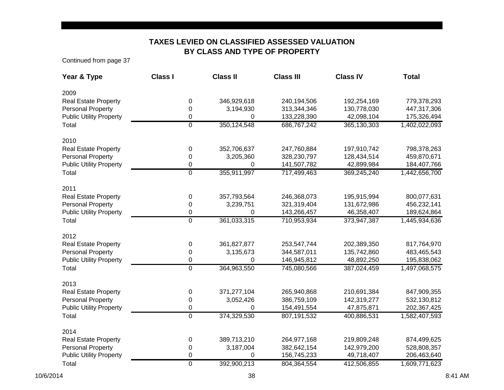### **TAXES LEVIED ON CLASSIFIED ASSESSED VALUATION BY CLASS AND TYPE OF PROPERTY**

Continued from page 37

| Year & Type                    | <b>Class I</b> | <b>Class II</b> | <b>Class III</b> | <b>Class IV</b> | <b>Total</b>  |
|--------------------------------|----------------|-----------------|------------------|-----------------|---------------|
| 2009                           |                |                 |                  |                 |               |
| Real Estate Property           | 0              | 346,929,618     | 240,194,506      | 192,254,169     | 779,378,293   |
| <b>Personal Property</b>       | 0              | 3,194,930       | 313,344,346      | 130,778,030     | 447,317,306   |
| <b>Public Utility Property</b> | 0              | 0               | 133,228,390      | 42,098,104      | 175,326,494   |
| Total                          | $\overline{0}$ | 350,124,548     | 686,767,242      | 365, 130, 303   | 1,402,022,093 |
| 2010                           |                |                 |                  |                 |               |
| Real Estate Property           | 0              | 352,706,637     | 247,760,884      | 197,910,742     | 798,378,263   |
| <b>Personal Property</b>       | 0              | 3,205,360       | 328,230,797      | 128,434,514     | 459,870,671   |
| <b>Public Utility Property</b> | 0              | 0               | 141,507,782      | 42,899,984      | 184,407,766   |
| Total                          | $\overline{0}$ | 355,911,997     | 717,499,463      | 369,245,240     | 1,442,656,700 |
| 2011                           |                |                 |                  |                 |               |
| <b>Real Estate Property</b>    | 0              | 357,793,564     | 246,368,073      | 195,915,994     | 800,077,631   |
| <b>Personal Property</b>       | 0              | 3,239,751       | 321,319,404      | 131,672,986     | 456,232,141   |
| <b>Public Utility Property</b> | 0              | 0               | 143,266,457      | 46,358,407      | 189,624,864   |
| Total                          | $\overline{0}$ | 361,033,315     | 710,953,934      | 373,947,387     | 1,445,934,636 |
| 2012                           |                |                 |                  |                 |               |
| <b>Real Estate Property</b>    | 0              | 361,827,877     | 253,547,744      | 202,389,350     | 817,764,970   |
| <b>Personal Property</b>       | 0              | 3,135,673       | 344,587,011      | 135,742,860     | 483,465,543   |
| <b>Public Utility Property</b> | 0              | 0               | 146,945,812      | 48,892,250      | 195,838,062   |
| Total                          | $\overline{0}$ | 364,963,550     | 745,080,566      | 387,024,459     | 1,497,068,575 |
| 2013                           |                |                 |                  |                 |               |
| <b>Real Estate Property</b>    | 0              | 371,277,104     | 265,940,868      | 210,691,384     | 847,909,355   |
| <b>Personal Property</b>       | 0              | 3,052,426       | 386,759,109      | 142,319,277     | 532,130,812   |
| <b>Public Utility Property</b> | 0              | $\Omega$        | 154,491,554      | 47,875,871      | 202,367,425   |
| Total                          | $\overline{0}$ | 374,329,530     | 807,191,532      | 400,886,531     | 1,582,407,593 |
| 2014                           |                |                 |                  |                 |               |
| <b>Real Estate Property</b>    | 0              | 389,713,210     | 264,977,168      | 219,809,248     | 874,499,625   |
| <b>Personal Property</b>       | 0              | 3,187,004       | 382,642,154      | 142,979,200     | 528,808,357   |
| <b>Public Utility Property</b> | 0              | 0               | 156,745,233      | 49,718,407      | 206,463,640   |
| Total                          | 0              | 392,900,213     | 804,364,554      | 412,506,855     | 1,609,771,623 |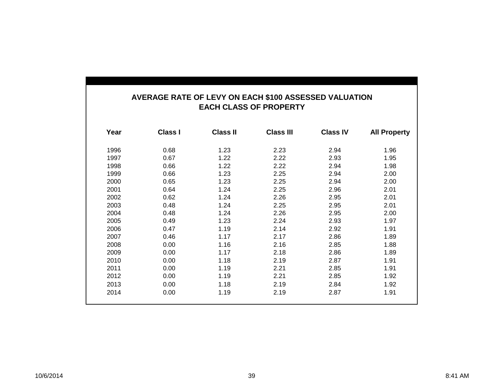#### **AVERAGE RATE OF LEVY ON EACH \$100 ASSESSED VALUATION EACH CLASS OF PROPERTY**

| Year | Class I | <b>Class II</b> | <b>Class III</b> | <b>Class IV</b> | <b>All Property</b> |
|------|---------|-----------------|------------------|-----------------|---------------------|
| 1996 | 0.68    | 1.23            | 2.23             | 2.94            | 1.96                |
| 1997 | 0.67    | 1.22            | 2.22             | 2.93            | 1.95                |
| 1998 | 0.66    | 1.22            | 2.22             | 2.94            | 1.98                |
| 1999 | 0.66    | 1.23            | 2.25             | 2.94            | 2.00                |
| 2000 | 0.65    | 1.23            | 2.25             | 2.94            | 2.00                |
| 2001 | 0.64    | 1.24            | 2.25             | 2.96            | 2.01                |
| 2002 | 0.62    | 1.24            | 2.26             | 2.95            | 2.01                |
| 2003 | 0.48    | 1.24            | 2.25             | 2.95            | 2.01                |
| 2004 | 0.48    | 1.24            | 2.26             | 2.95            | 2.00                |
| 2005 | 0.49    | 1.23            | 2.24             | 2.93            | 1.97                |
| 2006 | 0.47    | 1.19            | 2.14             | 2.92            | 1.91                |
| 2007 | 0.46    | 1.17            | 2.17             | 2.86            | 1.89                |
| 2008 | 0.00    | 1.16            | 2.16             | 2.85            | 1.88                |
| 2009 | 0.00    | 1.17            | 2.18             | 2.86            | 1.89                |
| 2010 | 0.00    | 1.18            | 2.19             | 2.87            | 1.91                |
| 2011 | 0.00    | 1.19            | 2.21             | 2.85            | 1.91                |
| 2012 | 0.00    | 1.19            | 2.21             | 2.85            | 1.92                |
| 2013 | 0.00    | 1.18            | 2.19             | 2.84            | 1.92                |
| 2014 | 0.00    | 1.19            | 2.19             | 2.87            | 1.91                |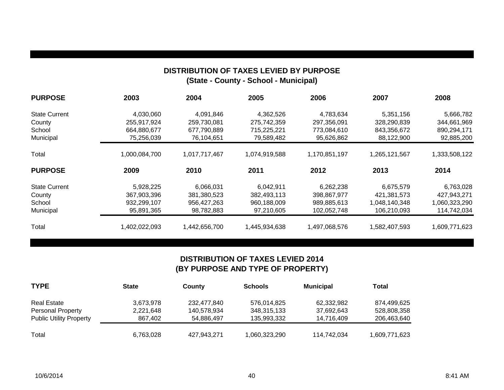### **DISTRIBUTION OF TAXES LEVIED BY PURPOSE (State - County - School - Municipal)**

| <b>PURPOSE</b>       | 2003          | 2004          | 2005          | 2006          | 2007          | 2008          |
|----------------------|---------------|---------------|---------------|---------------|---------------|---------------|
| <b>State Current</b> | 4,030,060     | 4,091,846     | 4,362,526     | 4,783,634     | 5,351,156     | 5,666,782     |
| County               | 255,917,924   | 259,730,081   | 275,742,359   | 297,356,091   | 328,290,839   | 344,661,969   |
| School               | 664,880,677   | 677,790,889   | 715,225,221   | 773,084,610   | 843,356,672   | 890,294,171   |
| Municipal            | 75,256,039    | 76,104,651    | 79,589,482    | 95,626,862    | 88,122,900    | 92,885,200    |
| Total                | 1,000,084,700 | 1,017,717,467 | 1,074,919,588 | 1,170,851,197 | 1,265,121,567 | 1,333,508,122 |
| <b>PURPOSE</b>       | 2009          | 2010          | 2011          | 2012          | 2013          | 2014          |
| <b>State Current</b> | 5,928,225     | 6,066,031     | 6,042,911     | 6,262,238     | 6,675,579     | 6,763,028     |
| County               | 367,903,396   | 381,380,523   | 382,493,113   | 398,867,977   | 421,381,573   | 427,943,271   |
| School               | 932,299,107   | 956,427,263   | 960,188,009   | 989,885,613   | 1,048,140,348 | 1,060,323,290 |
| Municipal            | 95,891,365    | 98,782,883    | 97,210,605    | 102,052,748   | 106,210,093   | 114,742,034   |
| Total                | 1,402,022,093 | 1,442,656,700 | 1,445,934,638 | 1,497,068,576 | 1,582,407,593 | 1,609,771,623 |

### **DISTRIBUTION OF TAXES LEVIED 2014 (BY PURPOSE AND TYPE OF PROPERTY)**

| <b>TYPE</b>                    | <b>State</b> | County      | <b>Schools</b> | <b>Municipal</b> | Total         |
|--------------------------------|--------------|-------------|----------------|------------------|---------------|
| Real Estate                    | 3,673,978    | 232,477,840 | 576,014,825    | 62,332,982       | 874,499,625   |
| <b>Personal Property</b>       | 2,221,648    | 140,578,934 | 348,315,133    | 37,692,643       | 528,808,358   |
| <b>Public Utility Property</b> | 867.402      | 54,886,497  | 135,993,332    | 14,716,409       | 206,463,640   |
| Total                          | 6,763,028    | 427,943,271 | 1,060,323,290  | 114,742,034      | 1,609,771,623 |